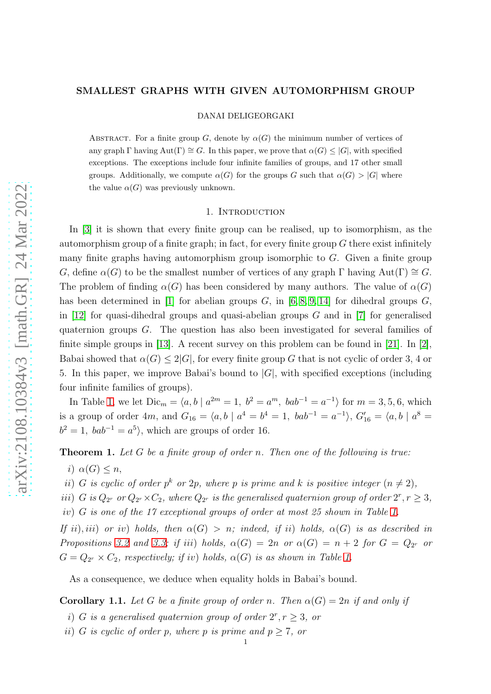## SMALLEST GRAPHS WITH GIVEN AUTOMORPHISM GROUP

DANAI DELIGEORGAKI

ABSTRACT. For a finite group G, denote by  $\alpha(G)$  the minimum number of vertices of any graph  $\Gamma$  having  $\text{Aut}(\Gamma) \cong G$ . In this paper, we prove that  $\alpha(G) \leq |G|$ , with specified exceptions. The exceptions include four infinite families of groups, and 17 other small groups. Additionally, we compute  $\alpha(G)$  for the groups G such that  $\alpha(G) > |G|$  where the value  $\alpha(G)$  was previously unknown.

# 1. INTRODUCTION

In [\[3\]](#page-25-0) it is shown that every finite group can be realised, up to isomorphism, as the automorphism group of a finite graph; in fact, for every finite group  $G$  there exist infinitely many finite graphs having automorphism group isomorphic to  $G$ . Given a finite group G, define  $\alpha(G)$  to be the smallest number of vertices of any graph  $\Gamma$  having  $Aut(\Gamma) \cong G$ . The problem of finding  $\alpha(G)$  has been considered by many authors. The value of  $\alpha(G)$ has been determined in [\[1\]](#page-25-1) for abelian groups  $G$ , in [\[6,](#page-25-2) [8,](#page-25-3) [9,](#page-25-4) [14\]](#page-25-5) for dihedral groups  $G$ , in [\[12\]](#page-25-6) for quasi-dihedral groups and quasi-abelian groups  $G$  and in [\[7\]](#page-25-7) for generalised quaternion groups G. The question has also been investigated for several families of finite simple groups in [\[13\]](#page-25-8). A recent survey on this problem can be found in [\[21\]](#page-25-9). In [\[2\]](#page-25-10), Babai showed that  $\alpha(G) \leq 2|G|$ , for every finite group G that is not cyclic of order 3, 4 or 5. In this paper, we improve Babai's bound to  $|G|$ , with specified exceptions (including four infinite families of groups).

In Table [1,](#page-1-0) we let  $Dic_m = \langle a, b \mid a^{2m} = 1, b^2 = a^m, bab^{-1} = a^{-1} \rangle$  for  $m = 3, 5, 6$ , which is a group of order 4m, and  $G_{16} = \langle a, b \mid a^4 = b^4 = 1, bab^{-1} = a^{-1} \rangle$ ,  $G'_{16} = \langle a, b \mid a^8 = 1 \rangle$  $b^2 = 1$ ,  $bab^{-1} = a^5$ , which are groups of order 16.

<span id="page-0-0"></span>**Theorem 1.** Let G be a finite group of order n. Then one of the following is true:

i)  $\alpha(G) \leq n$ ,

ii) G is cyclic of order  $p^k$  or 2p, where p is prime and k is positive integer  $(n \neq 2)$ ,

iii) G is  $Q_{2r}$  or  $Q_{2r} \times C_2$ , where  $Q_{2r}$  is the generalised quaternion group of order  $2^r, r \geq 3$ , iv) G is one of the 17 exceptional groups of order at most 25 shown in Table [1.](#page-1-0)

If ii), iii) or iv) holds, then  $\alpha(G) > n$ ; indeed, if ii) holds,  $\alpha(G)$  is as described in Propositions [3.2](#page-5-0) and [3.3;](#page-5-1) if iii) holds,  $\alpha(G) = 2n$  or  $\alpha(G) = n + 2$  for  $G = Q_{2r}$  or  $G = Q_{2r} \times C_2$ , respectively; if iv) holds,  $\alpha(G)$  is as shown in Table [1.](#page-1-0)

As a consequence, we deduce when equality holds in Babai's bound.

**Corollary 1.1.** Let G be a finite group of order n. Then  $\alpha(G) = 2n$  if and only if

- i) G is a generalised quaternion group of order  $2^r, r \geq 3$ , or
- ii) G is cyclic of order p, where p is prime and  $p \geq 7$ , or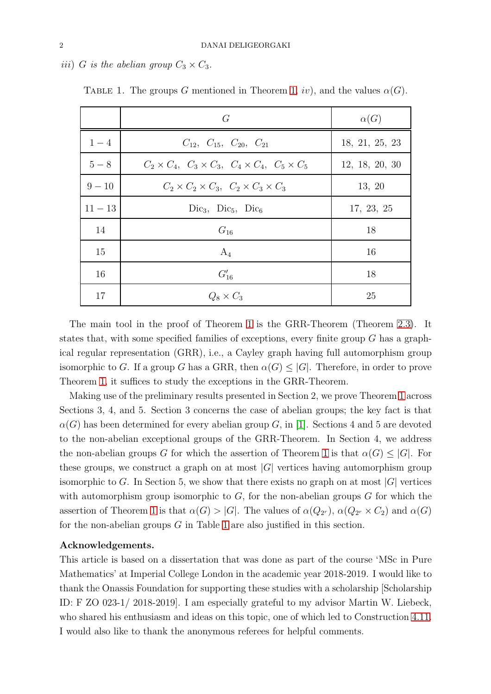iii) G is the abelian group  $C_3 \times C_3$ .

|           | G                                                                         | $\alpha(G)$    |
|-----------|---------------------------------------------------------------------------|----------------|
| $1 - 4$   | $C_{12}$ , $C_{15}$ , $C_{20}$ , $C_{21}$                                 | 18, 21, 25, 23 |
| $5-8$     | $C_2 \times C_4$ , $C_3 \times C_3$ , $C_4 \times C_4$ , $C_5 \times C_5$ | 12, 18, 20, 30 |
| $9 - 10$  | $C_2 \times C_2 \times C_3$ , $C_2 \times C_3 \times C_3$                 | 13, 20         |
| $11 - 13$ | $Dic_3$ , $Dic_5$ , $Dic_6$                                               | 17, 23, 25     |
| 14        | $G_{16}$                                                                  | 18             |
| 15        | $A_4$                                                                     | 16             |
| 16        | $G'_{16}$                                                                 | 18             |
| 17        | $Q_8 \times C_3$                                                          | 25             |

<span id="page-1-0"></span>TABLE 1. The groups G mentioned in Theorem [1,](#page-0-0) iv), and the values  $\alpha(G)$ .

The main tool in the proof of Theorem [1](#page-0-0) is the GRR-Theorem (Theorem [2.3\)](#page-2-0). It states that, with some specified families of exceptions, every finite group  $G$  has a graphical regular representation (GRR), i.e., a Cayley graph having full automorphism group isomorphic to G. If a group G has a GRR, then  $\alpha(G) \leq |G|$ . Therefore, in order to prove Theorem [1,](#page-0-0) it suffices to study the exceptions in the GRR-Theorem.

Making use of the preliminary results presented in Section 2, we prove Theorem [1](#page-0-0) across Sections 3, 4, and 5. Section 3 concerns the case of abelian groups; the key fact is that  $\alpha(G)$  has been determined for every abelian group G, in [\[1\]](#page-25-1). Sections 4 and 5 are devoted to the non-abelian exceptional groups of the GRR-Theorem. In Section 4, we address the non-abelian groups G for which the assertion of Theorem [1](#page-0-0) is that  $\alpha(G) \leq |G|$ . For these groups, we construct a graph on at most  $|G|$  vertices having automorphism group isomorphic to G. In Section 5, we show that there exists no graph on at most  $|G|$  vertices with automorphism group isomorphic to  $G$ , for the non-abelian groups  $G$  for which the assertion of Theorem [1](#page-0-0) is that  $\alpha(G) > |G|$ . The values of  $\alpha(Q_{2r}), \alpha(Q_{2r} \times C_2)$  and  $\alpha(G)$ for the non-abelian groups  $G$  in Table [1](#page-1-0) are also justified in this section.

## Acknowledgements.

This article is based on a dissertation that was done as part of the course 'MSc in Pure Mathematics' at Imperial College London in the academic year 2018-2019. I would like to thank the Onassis Foundation for supporting these studies with a scholarship [Scholarship ID: F ZO 023-1/ 2018-2019]. I am especially grateful to my advisor Martin W. Liebeck, who shared his enthusiasm and ideas on this topic, one of which led to Construction [4.11.](#page-10-0) I would also like to thank the anonymous referees for helpful comments.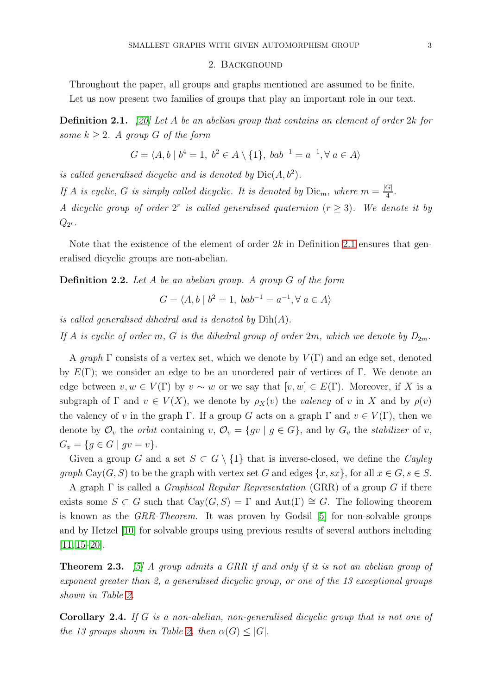### 2. Background

Throughout the paper, all groups and graphs mentioned are assumed to be finite. Let us now present two families of groups that play an important role in our text.

<span id="page-2-1"></span>**Definition 2.1.** [\[20\]](#page-25-11) Let A be an abelian group that contains an element of order  $2k$  for some  $k \geq 2$ . A group G of the form

$$
G = \langle A, b \mid b^4 = 1, b^2 \in A \setminus \{1\}, bab^{-1} = a^{-1}, \forall a \in A \rangle
$$

is called generalised dicyclic and is denoted by  $Dic(A, b^2)$ .

If A is cyclic, G is simply called dicyclic. It is denoted by  $\text{Dic}_m$ , where  $m = \frac{|G|}{4}$  $\frac{|G|}{4}$ .

A dicyclic group of order  $2^r$  is called generalised quaternion  $(r \geq 3)$ . We denote it by  $Q_{2^r}.$ 

Note that the existence of the element of order  $2k$  in Definition [2.1](#page-2-1) ensures that generalised dicyclic groups are non-abelian.

**Definition 2.2.** Let A be an abelian group. A group G of the form

$$
G = \langle A, b \mid b^2 = 1, bab^{-1} = a^{-1}, \forall a \in A \rangle
$$

is called generalised dihedral and is denoted by  $Dih(A)$ .

If A is cyclic of order m, G is the dihedral group of order 2m, which we denote by  $D_{2m}$ .

A graph  $\Gamma$  consists of a vertex set, which we denote by  $V(\Gamma)$  and an edge set, denoted by  $E(\Gamma)$ ; we consider an edge to be an unordered pair of vertices of  $\Gamma$ . We denote an edge between  $v, w \in V(\Gamma)$  by  $v \sim w$  or we say that  $[v, w] \in E(\Gamma)$ . Moreover, if X is a subgraph of  $\Gamma$  and  $v \in V(X)$ , we denote by  $\rho_X(v)$  the valency of v in X and by  $\rho(v)$ the valency of v in the graph Γ. If a group G acts on a graph Γ and  $v \in V(\Gamma)$ , then we denote by  $\mathcal{O}_v$  the *orbit* containing v,  $\mathcal{O}_v = \{gv \mid g \in G\}$ , and by  $G_v$  the *stabilizer* of v,  $G_v = \{ g \in G \mid gv = v \}.$ 

Given a group G and a set  $S \subset G \setminus \{1\}$  that is inverse-closed, we define the Cayley qraph Cay(G, S) to be the graph with vertex set G and edges  $\{x, sx\}$ , for all  $x \in G$ ,  $s \in S$ .

A graph  $\Gamma$  is called a *Graphical Regular Representation* (GRR) of a group G if there exists some  $S \subset G$  such that  $Cay(G, S) = \Gamma$  and  $Aut(\Gamma) \cong G$ . The following theorem is known as the GRR-Theorem. It was proven by Godsil [\[5\]](#page-25-12) for non-solvable groups and by Hetzel [\[10\]](#page-25-13) for solvable groups using previous results of several authors including [\[11,](#page-25-14) [15](#page-25-15)[–20\]](#page-25-11).

<span id="page-2-0"></span>**Theorem 2.3.** [\[5\]](#page-25-12) A group admits a GRR if and only if it is not an abelian group of exponent greater than 2, a generalised dicyclic group, or one of the 13 exceptional groups shown in Table [2.](#page-3-0)

Corollary 2.4. If G is a non-abelian, non-generalised dicyclic group that is not one of the 13 groups shown in Table [2,](#page-3-0) then  $\alpha(G) \leq |G|$ .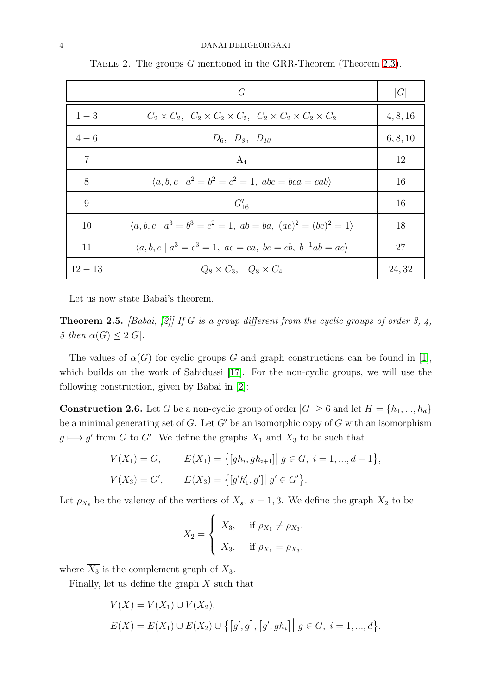#### 4 DANAI DELIGEORGAKI

|                | G                                                                                       | G        |
|----------------|-----------------------------------------------------------------------------------------|----------|
| $1 - 3$        | $C_2 \times C_2$ , $C_2 \times C_2 \times C_2$ , $C_2 \times C_2 \times C_2 \times C_2$ | 4, 8, 16 |
| $4 - 6$        | $D_6, D_8, D_{10}$                                                                      | 6, 8, 10 |
| $\overline{7}$ | $A_4$                                                                                   | 12       |
| 8              | $\langle a, b, c \mid a^2 = b^2 = c^2 = 1, abc = bca = cab \rangle$                     | 16       |
| 9              | $G'_{16}$                                                                               | 16       |
| 10             | $\langle a, b, c \mid a^3 = b^3 = c^2 = 1, ab = ba, (ac)^2 = (bc)^2 = 1 \rangle$        | 18       |
| 11             | $\langle a, b, c \mid a^3 = c^3 = 1, ac = ca, bc = cb, b^{-1}ab = ac \rangle$           | 27       |
| $12 - 13$      | $Q_8 \times C_3$ , $Q_8 \times C_4$                                                     | 24, 32   |

<span id="page-3-0"></span>TABLE 2. The groups  $G$  mentioned in the GRR-Theorem (Theorem [2.3\)](#page-2-0).

Let us now state Babai's theorem.

<span id="page-3-1"></span>**Theorem 2.5.** [Babai, [\[2\]](#page-25-10)] If G is a group different from the cyclic groups of order 3, 4, 5 then  $\alpha(G) \leq 2|G|$ .

The values of  $\alpha(G)$  for cyclic groups G and graph constructions can be found in [\[1\]](#page-25-1), which builds on the work of Sabidussi [\[17\]](#page-25-16). For the non-cyclic groups, we will use the following construction, given by Babai in [\[2\]](#page-25-10):

<span id="page-3-2"></span>**Construction 2.6.** Let G be a non-cyclic group of order  $|G| \ge 6$  and let  $H = \{h_1, ..., h_d\}$ be a minimal generating set of  $G$ . Let  $G'$  be an isomorphic copy of  $G$  with an isomorphism  $g \mapsto g'$  from G to G'. We define the graphs  $X_1$  and  $X_3$  to be such that

$$
V(X_1) = G, \qquad E(X_1) = \{ [gh_i, gh_{i+1}] \mid g \in G, \ i = 1, ..., d - 1 \},
$$
  

$$
V(X_3) = G', \qquad E(X_3) = \{ [g'h'_1, g'] \mid g' \in G' \}.
$$

Let  $\rho_{X_s}$  be the valency of the vertices of  $X_s$ ,  $s = 1, 3$ . We define the graph  $X_2$  to be

$$
X_2 = \begin{cases} X_3, & \text{if } \rho_{X_1} \neq \rho_{X_3}, \\ \overline{X_3}, & \text{if } \rho_{X_1} = \rho_{X_3}, \end{cases}
$$

where  $\overline{X_3}$  is the complement graph of  $X_3$ .

Finally, let us define the graph  $X$  such that

$$
V(X) = V(X_1) \cup V(X_2),
$$
  
\n
$$
E(X) = E(X_1) \cup E(X_2) \cup \{ [g', g], [g', gh_i] \mid g \in G, i = 1, ..., d \}.
$$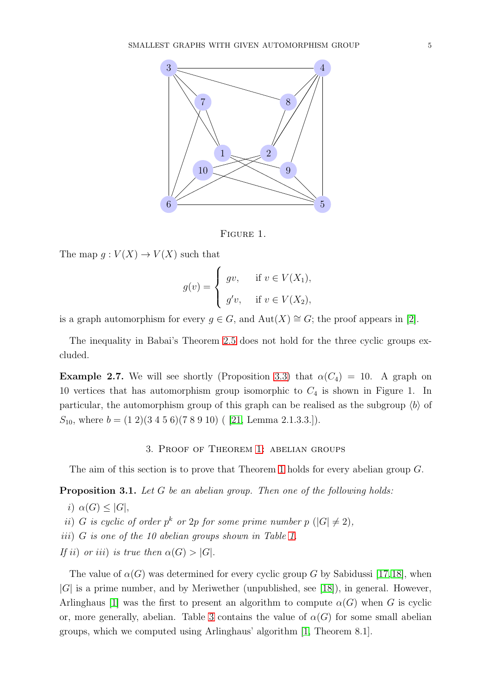

Figure 1.

The map  $g: V(X) \to V(X)$  such that

$$
g(v) = \begin{cases} gv, & \text{if } v \in V(X_1), \\ g'v, & \text{if } v \in V(X_2), \end{cases}
$$

is a graph automorphism for every  $g \in G$ , and  $Aut(X) \cong G$ ; the proof appears in [\[2\]](#page-25-10).

The inequality in Babai's Theorem [2.5](#page-3-1) does not hold for the three cyclic groups excluded.

<span id="page-4-1"></span>**Example 2.7.** We will see shortly (Proposition [3.3\)](#page-5-1) that  $\alpha(C_4) = 10$ . A graph on 10 vertices that has automorphism group isomorphic to  $C_4$  is shown in Figure 1. In particular, the automorphism group of this graph can be realised as the subgroup  $\langle b \rangle$  of  $S_{10}$ , where  $b = (1\ 2)(3\ 4\ 5\ 6)(7\ 8\ 9\ 10)$  ([21, Lemma 2.1.3.3.]).

# 3. Proof of Theorem [1:](#page-0-0) abelian groups

The aim of this section is to prove that Theorem [1](#page-0-0) holds for every abelian group G.

<span id="page-4-0"></span>**Proposition 3.1.** Let G be an abelian group. Then one of the following holds:

i)  $\alpha(G) \leq |G|$ , ii) G is cyclic of order  $p^k$  or 2p for some prime number  $p(|G| \neq 2)$ , iii) G is one of the 10 abelian groups shown in Table [1.](#page-1-0) If ii) or iii) is true then  $\alpha(G) > |G|$ .

The value of  $\alpha(G)$  was determined for every cyclic group G by Sabidussi [\[17,](#page-25-16)[18\]](#page-25-17), when |G| is a prime number, and by Meriwether (unpublished, see [\[18\]](#page-25-17)), in general. However, Arlinghaus [\[1\]](#page-25-1) was the first to present an algorithm to compute  $\alpha(G)$  when G is cyclic or, more generally, abelian. Table [3](#page-5-2) contains the value of  $\alpha(G)$  for some small abelian groups, which we computed using Arlinghaus' algorithm [\[1,](#page-25-1) Theorem 8.1].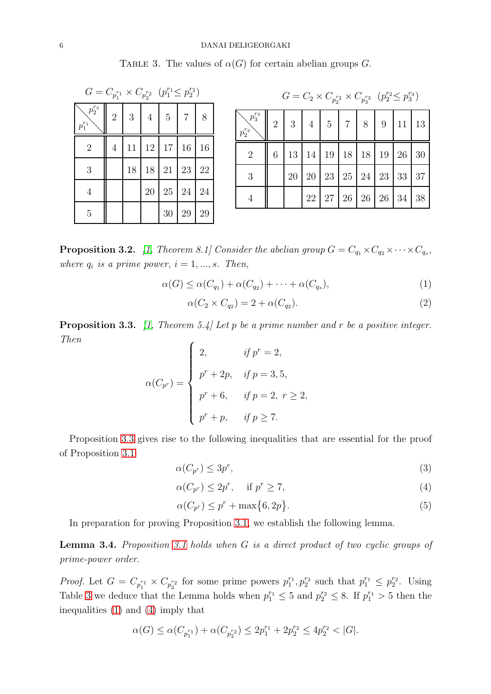#### 6 DANAI DELIGEORGAKI

<span id="page-5-2"></span>

| TABLE 3. The values of $\alpha(G)$ for certain abelian groups G. |  |  |  |  |  |  |  |  |  |
|------------------------------------------------------------------|--|--|--|--|--|--|--|--|--|
|------------------------------------------------------------------|--|--|--|--|--|--|--|--|--|

| $G = C_{p_1^{r_1}} \times C_{p_2^{r_2}} \ \left(p_1^{r_1} \leq p_2^{r_2}\right)$ |                |    |                |                |                |    |  |  |  |  |
|----------------------------------------------------------------------------------|----------------|----|----------------|----------------|----------------|----|--|--|--|--|
| $p_2^{r_2}$<br>$p_1^{r_1}$                                                       | $\overline{2}$ | 3  | $\overline{4}$ | $\overline{5}$ | $\overline{7}$ | 8  |  |  |  |  |
| $\overline{2}$                                                                   | $\overline{4}$ | 11 |                | 12 17          | 16             | 16 |  |  |  |  |
| 3                                                                                |                | 18 | 18             | 21             | 23             | 22 |  |  |  |  |
| $\overline{4}$                                                                   |                |    | 20             | $25\,$         | 24             | 24 |  |  |  |  |
| 5                                                                                |                |    |                | 30             | 29             | 29 |  |  |  |  |

| $G = C_2 \times C_{p_2^{r_2}} \times C_{p_3^{r_3}} (p_2^{r_2} \leq p_3^{r_3})$ |   |                                                               |    |    |  |  |  |                                                              |  |  |  |
|--------------------------------------------------------------------------------|---|---------------------------------------------------------------|----|----|--|--|--|--------------------------------------------------------------|--|--|--|
| $\smallsetminus p_3^{r_3} \mid$<br>$p_2^{r_2}$                                 |   | $2 \mid 3 \mid 4 \mid 5 \mid 7 \mid 8 \mid 9 \mid 11 \mid 13$ |    |    |  |  |  |                                                              |  |  |  |
| $\overline{2}$                                                                 | 6 |                                                               |    |    |  |  |  | $13 \mid 14 \mid 19 \mid 18 \mid 18 \mid 19 \mid 26 \mid 30$ |  |  |  |
| 3                                                                              |   |                                                               |    |    |  |  |  | $20 \mid 20 \mid 23 \mid 25 \mid 24 \mid 23 \mid 33 \mid 37$ |  |  |  |
| $\overline{4}$                                                                 |   |                                                               | 22 | 27 |  |  |  | $26 \mid 26 \mid 26 \mid 34 \mid 38$                         |  |  |  |

<span id="page-5-0"></span>**Proposition 3.2.** [\[1,](#page-25-1) Theorem 8.1] Consider the abelian group  $G = C_{q_1} \times C_{q_2} \times \cdots \times C_{q_s}$ , where  $q_i$  is a prime power,  $i = 1, ..., s$ . Then,

<span id="page-5-3"></span>
$$
\alpha(G) \leq \alpha(C_{q_1}) + \alpha(C_{q_2}) + \dots + \alpha(C_{q_s}),\tag{1}
$$

<span id="page-5-5"></span>
$$
\alpha(C_2 \times C_{q_2}) = 2 + \alpha(C_{q_2}).\tag{2}
$$

<span id="page-5-1"></span>**Proposition 3.3.** [\[1,](#page-25-1) Theorem 5.4] Let p be a prime number and r be a positive integer. Then  $\epsilon$ 

$$
\alpha(C_{p^r}) = \begin{cases}\n2, & \text{if } p^r = 2, \\
p^r + 2p, & \text{if } p = 3, 5, \\
p^r + 6, & \text{if } p = 2, r \ge 2, \\
p^r + p, & \text{if } p \ge 7.\n\end{cases}
$$

Proposition [3.3](#page-5-1) gives rise to the following inequalities that are essential for the proof of Proposition [3.1:](#page-4-0)

<span id="page-5-8"></span>
$$
\alpha(C_{p^r}) \le 3p^r,\tag{3}
$$

<span id="page-5-4"></span>
$$
\alpha(C_{p^r}) \le 2p^r, \quad \text{if } p^r \ge 7,\tag{4}
$$

<span id="page-5-6"></span>
$$
\alpha(C_{p^r}) \le p^r + \max\{6, 2p\}.
$$
\n<sup>(5)</sup>

In preparation for proving Proposition [3.1,](#page-4-0) we establish the following lemma.

<span id="page-5-7"></span>Lemma 3.4. Proposition [3.1](#page-4-0) holds when G is a direct product of two cyclic groups of prime-power order.

*Proof.* Let  $G = C_{p_1^{r_1}} \times C_{p_2^{r_2}}$  for some prime powers  $p_1^{r_1}, p_2^{r_2}$  such that  $p_1^{r_1} \leq p_2^{r_2}$ . Using Table [3](#page-5-2) we deduce that the Lemma holds when  $p_1^{r_1} \leq 5$  and  $p_2^{r_2} \leq 8$ . If  $p_1^{r_1} > 5$  then the inequalities [\(1\)](#page-5-3) and [\(4\)](#page-5-4) imply that

$$
\alpha(G) \le \alpha(C_{p_1^{r_1}}) + \alpha(C_{p_2^{r_2}}) \le 2p_1^{r_1} + 2p_2^{r_2} \le 4p_2^{r_2} < |G|.
$$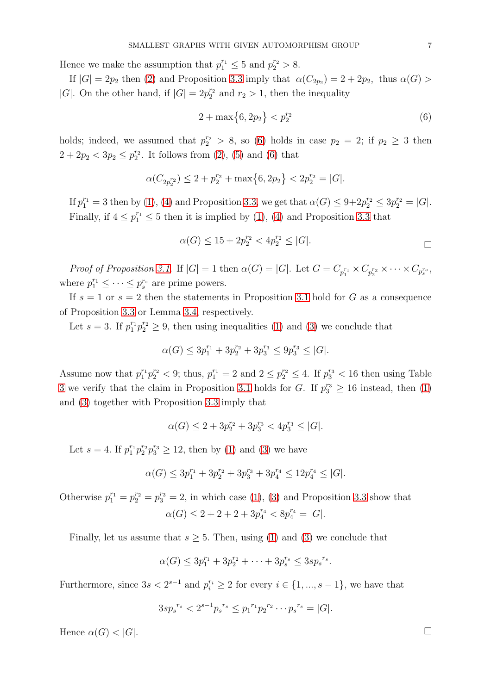Hence we make the assumption that  $p_1^{r_1} \leq 5$  and  $p_2^{r_2} > 8$ .

If  $|G| = 2p_2$  then [\(2\)](#page-5-5) and Proposition [3.3](#page-5-1) imply that  $\alpha(C_{2p_2}) = 2 + 2p_2$ , thus  $\alpha(G) >$ |G|. On the other hand, if  $|G| = 2p_2^{r_2}$  and  $r_2 > 1$ , then the inequality

<span id="page-6-0"></span>
$$
2 + \max\{6, 2p_2\} < p_2^{r_2} \tag{6}
$$

holds; indeed, we assumed that  $p_2^{r_2} > 8$ , so [\(6\)](#page-6-0) holds in case  $p_2 = 2$ ; if  $p_2 \ge 3$  then  $2 + 2p_2 < 3p_2 \leq p_2^{r_2}$  $_{2}^{r_2}$ . It follows from  $(2)$ ,  $(5)$  and  $(6)$  that

$$
\alpha(C_{2p_2^{r_2}}) \le 2 + p_2^{r_2} + \max\{6, 2p_2\} < 2p_2^{r_2} = |G|.
$$

If  $p_1^{r_1} = 3$  then by [\(1\)](#page-5-3), [\(4\)](#page-5-4) and Proposition [3.3,](#page-5-1) we get that  $\alpha(G) \leq 9 + 2p_2^{r_2} \leq 3p_2^{r_2} = |G|$ . Finally, if  $4 \leq p_1^{r_1} \leq 5$  then it is implied by [\(1\)](#page-5-3), [\(4\)](#page-5-4) and Proposition [3.3](#page-5-1) that

$$
\alpha(G) \le 15 + 2p_2^{r_2} < 4p_2^{r_2} \le |G|.
$$

Proof of Proposition [3.1](#page-4-0). If  $|G|=1$  then  $\alpha(G)=|G|$ . Let  $G=C_{p_1^{r_1}} \times C_{p_2^{r_2}} \times \cdots \times C_{p_s^{r_s}}$ , where  $p_1^{r_1} \leq \cdots \leq p_s^{r_s}$  are prime powers.

If  $s = 1$  or  $s = 2$  then the statements in Proposition [3.1](#page-4-0) hold for G as a consequence of Proposition [3.3](#page-5-1) or Lemma [3.4,](#page-5-7) respectively.

Let  $s = 3$ . If  $p_1^{r_1} p_2^{r_2} \geq 9$ , then using inequalities [\(1\)](#page-5-3) and [\(3\)](#page-5-8) we conclude that

$$
\alpha(G) \le 3p_1^{r_1} + 3p_2^{r_2} + 3p_3^{r_3} \le 9p_3^{r_3} \le |G|.
$$

Assume now that  $p_1^{r_1}p_2^{r_2} < 9$ ; thus,  $p_1^{r_1} = 2$  and  $2 \le p_2^{r_2} \le 4$ . If  $p_3^{r_3} < 16$  then using Table [3](#page-5-2) we verify that the claim in Proposition [3.1](#page-4-0) holds for G. If  $p_3^{r_3} \geq 16$  instead, then [\(1\)](#page-5-3) and [\(3\)](#page-5-8) together with Proposition [3.3](#page-5-1) imply that

$$
\alpha(G)\leq 2+3p_2^{r_2}+3p_3^{r_3}<4p_3^{r_3}\leq |G|.
$$

Let  $s = 4$ . If  $p_1^{r_1} p_2^{r_2} p_3^{r_3} \ge 12$ , then by [\(1\)](#page-5-3) and [\(3\)](#page-5-8) we have

$$
\alpha(G) \le 3p_1^{r_1} + 3p_2^{r_2} + 3p_3^{r_3} + 3p_4^{r_4} \le 12p_4^{r_4} \le |G|.
$$

Otherwise  $p_1^{r_1} = p_2^{r_2} = p_3^{r_3} = 2$ , in which case [\(1\)](#page-5-3), [\(3\)](#page-5-8) and Proposition [3.3](#page-5-1) show that  $\alpha(G) \leq 2 + 2 + 2 + 3p_4^{r_4} < 8p_4^{r_4} = |G|.$ 

Finally, let us assume that  $s \geq 5$ . Then, using [\(1\)](#page-5-3) and [\(3\)](#page-5-8) we conclude that

$$
\alpha(G) \le 3p_1^{r_1} + 3p_2^{r_2} + \dots + 3p_s^{r_s} \le 3sp_s^{r_s}.
$$

Furthermore, since  $3s < 2^{s-1}$  and  $p_i^{r_i} \ge 2$  for every  $i \in \{1, ..., s-1\}$ , we have that

$$
3sp_s^{r_s} < 2^{s-1}p_s^{r_s} \le p_1^{r_1}p_2^{r_2}\cdots p_s^{r_s} = |G|.
$$

Hence  $\alpha(G) < |G|$ .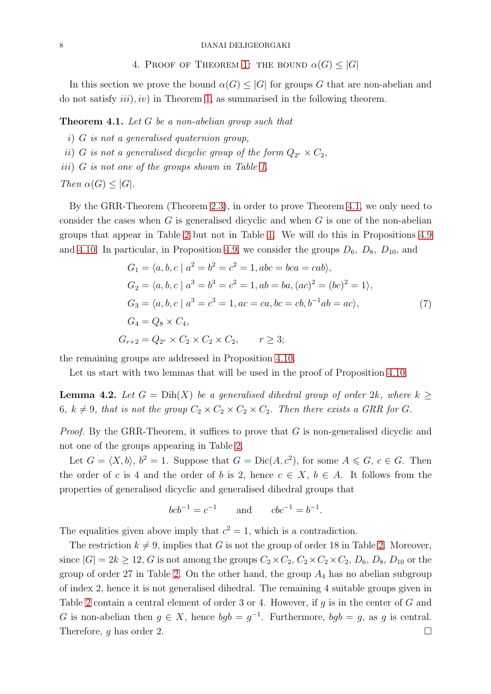### 4. PROOF OF THEOREM [1:](#page-0-0) THE BOUND  $\alpha(G) \leq |G|$

In this section we prove the bound  $\alpha(G) \leq |G|$  for groups G that are non-abelian and do not satisfy  $iii$ ,  $iv$ ) in Theorem [1,](#page-0-0) as summarised in the following theorem.

<span id="page-7-0"></span>Theorem 4.1. Let G be a non-abelian group such that

- i) G is not a generalised quaternion group,
- $ii)$  G is not a generalised dicyclic group of the form  $Q_{2r} \times C_2$ ,
- iii) G is not one of the groups shown in Table [1.](#page-1-0)

Then  $\alpha(G) \leq |G|$ .

By the GRR-Theorem (Theorem [2.3\)](#page-2-0), in order to prove Theorem [4.1,](#page-7-0) we only need to consider the cases when  $G$  is generalised dicyclic and when  $G$  is one of the non-abelian groups that appear in Table [2](#page-3-0) but not in Table [1.](#page-1-0) We will do this in Propositions [4.9](#page-9-0) and [4.10.](#page-9-1) In particular, in Proposition [4.9,](#page-9-0) we consider the groups  $D_6$ ,  $D_8$ ,  $D_{10}$ , and

$$
G_1 = \langle a, b, c \mid a^2 = b^2 = c^2 = 1, abc = bca = cab \rangle,
$$
  
\n
$$
G_2 = \langle a, b, c \mid a^3 = b^3 = c^2 = 1, ab = ba, (ac)^2 = (bc)^2 = 1 \rangle,
$$
  
\n
$$
G_3 = \langle a, b, c \mid a^3 = c^3 = 1, ac = ca, bc = cb, b^{-1}ab = ac \rangle,
$$
  
\n
$$
G_4 = Q_8 \times C_4,
$$
  
\n
$$
G_{r+2} = Q_{2r} \times C_2 \times C_2 \times C_2, \qquad r \ge 3;
$$
  
\n(7)

<span id="page-7-1"></span>the remaining groups are addressed in Proposition [4.10.](#page-9-1)

Let us start with two lemmas that will be used in the proof of Proposition [4.10.](#page-9-1)

<span id="page-7-2"></span>**Lemma 4.2.** Let  $G = \text{Dih}(X)$  be a generalised dihedral group of order 2k, where  $k \geq$ 6,  $k \neq 9$ , that is not the group  $C_2 \times C_2 \times C_2 \times C_2$ . Then there exists a GRR for G.

*Proof.* By the GRR-Theorem, it suffices to prove that  $G$  is non-generalised dicyclic and not one of the groups appearing in Table [2.](#page-3-0)

Let  $G = \langle X, b \rangle, b^2 = 1$ . Suppose that  $G = \text{Dic}(A, c^2)$ , for some  $A \leq G, c \in G$ . Then the order of c is 4 and the order of b is 2, hence  $c \in X$ ,  $b \in A$ . It follows from the properties of generalised dicyclic and generalised dihedral groups that

$$
bcb^{-1} = c^{-1}
$$
 and  $cbc^{-1} = b^{-1}$ .

The equalities given above imply that  $c^2 = 1$ , which is a contradiction.

The restriction  $k \neq 9$ , implies that G is not the group of order 18 in Table [2.](#page-3-0) Moreover, since  $|G| = 2k \ge 12$ , G is not among the groups  $C_2 \times C_2$ ,  $C_2 \times C_2 \times C_2$ ,  $D_6$ ,  $D_8$ ,  $D_{10}$  or the group of order 27 in Table [2.](#page-3-0) On the other hand, the group  $A_4$  has no abelian subgroup of index 2, hence it is not generalised dihedral. The remaining 4 suitable groups given in Table [2](#page-3-0) contain a central element of order 3 or 4. However, if q is in the center of  $G$  and G is non-abelian then  $g \in X$ , hence  $bgb = g^{-1}$ . Furthermore,  $bgb = g$ , as g is central. Therefore, g has order 2.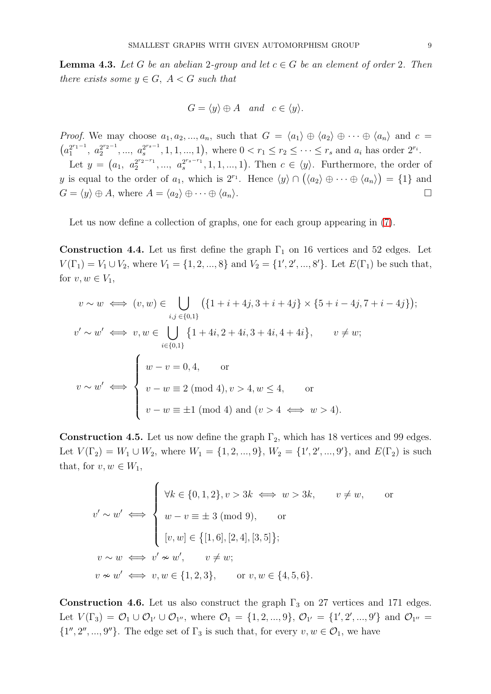<span id="page-8-1"></span>**Lemma 4.3.** Let G be an abelian 2-group and let  $c \in G$  be an element of order 2. Then there exists some  $y \in G$ ,  $A < G$  such that

$$
G = \langle y \rangle \oplus A \quad and \quad c \in \langle y \rangle.
$$

*Proof.* We may choose  $a_1, a_2, ..., a_n$ , such that  $G = \langle a_1 \rangle \oplus \langle a_2 \rangle \oplus \cdots \oplus \langle a_n \rangle$  and  $c =$  $\left( a_1^{2^{r_1-1}} \right)$  $a_1^{2^{r_1-1}}, a_2^{2^{r_2-1}}$  $a_2^{2r_2-1}, \ldots, a_s^{2rs-1}$  $s^{2^{rs-1}}, 1, 1, ..., 1$ , where  $0 < r_1 \le r_2 \le \cdots \le r_s$  and  $a_i$  has order  $2^{r_i}$ .

Let  $y = (a_1, a_2^{2^{r_2-r_1}})$  $a_2^{2^{r_2-r_1}}, \ldots, a_s^{2^{r_s-r_1}}$  $s^{2^{r_s-r_1}}, 1, 1, ..., 1$ ). Then  $c \in \langle y \rangle$ . Furthermore, the order of y is equal to the order of  $a_1$ , which is  $2^{r_1}$ . Hence  $\langle y \rangle \cap (\langle a_2 \rangle \oplus \cdots \oplus \langle a_n \rangle) = \{1\}$  and  $G = \langle y \rangle \oplus A$ , where  $A = \langle a_2 \rangle \oplus \cdots \oplus \langle a_n \rangle$ .

Let us now define a collection of graphs, one for each group appearing in [\(7\)](#page-7-1).

<span id="page-8-0"></span>Construction 4.4. Let us first define the graph  $\Gamma_1$  on 16 vertices and 52 edges. Let  $V(\Gamma_1) = V_1 \cup V_2$ , where  $V_1 = \{1, 2, ..., 8\}$  and  $V_2 = \{1', 2', ..., 8'\}$ . Let  $E(\Gamma_1)$  be such that, for  $v, w \in V_1$ ,

$$
v \sim w \iff (v, w) \in \bigcup_{i,j \in \{0,1\}} (\{1+i+4j, 3+i+4j\} \times \{5+i-4j, 7+i-4j\});
$$
  
\n
$$
v' \sim w' \iff v, w \in \bigcup_{i \in \{0,1\}} \{1+4i, 2+4i, 3+4i, 4+4i\}, \qquad v \neq w;
$$
  
\n
$$
v \sim w' \iff \begin{cases} w-v=0, 4, & \text{or} \\ v-w \equiv 2 \pmod{4}, v > 4, w \le 4, & \text{or} \\ v-w \equiv \pm 1 \pmod{4} \text{ and } (v > 4 \iff w > 4). \end{cases}
$$

<span id="page-8-2"></span>**Construction 4.5.** Let us now define the graph  $\Gamma_2$ , which has 18 vertices and 99 edges. Let  $V(\Gamma_2) = W_1 \cup W_2$ , where  $W_1 = \{1, 2, ..., 9\}$ ,  $W_2 = \{1', 2', ..., 9'\}$ , and  $E(\Gamma_2)$  is such that, for  $v, w \in W_1$ ,

$$
v' \sim w' \iff \begin{cases} \forall k \in \{0, 1, 2\}, v > 3k \iff w > 3k, & v \neq w, \text{ or} \\ w - v \equiv \pm 3 \text{ (mod 9)}, & \text{ or} \\ [v, w] \in \{[1, 6], [2, 4], [3, 5]\}; \\ v \sim w \iff v' \approx w', & v \neq w; \\ v \approx w' \iff v, w \in \{1, 2, 3\}, & \text{ or } v, w \in \{4, 5, 6\}. \end{cases}
$$

Construction 4.6. Let us also construct the graph  $\Gamma_3$  on 27 vertices and 171 edges. Let  $V(\Gamma_3) = \mathcal{O}_1 \cup \mathcal{O}_{1'} \cup \mathcal{O}_{1''}$ , where  $\mathcal{O}_1 = \{1, 2, ..., 9\}$ ,  $\mathcal{O}_{1'} = \{1', 2', ..., 9'\}$  and  $\mathcal{O}_{1''} =$  $\{1'', 2'', ..., 9''\}$ . The edge set of  $\Gamma_3$  is such that, for every  $v, w \in \mathcal{O}_1$ , we have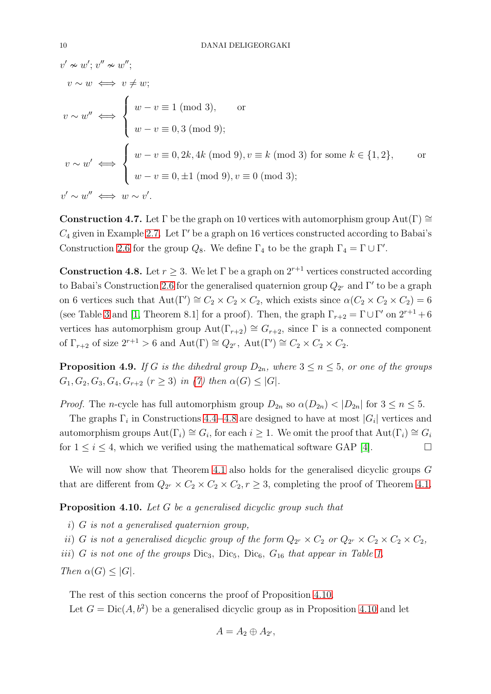$$
v' \approx w'; v'' \approx w'';
$$
  
\n
$$
v \sim w \iff v \neq w;
$$
  
\n
$$
v \sim w'' \iff \begin{cases} w - v \equiv 1 \pmod{3}, & \text{or} \\ w - v \equiv 0, 3 \pmod{9}; \end{cases}
$$
  
\n
$$
v \sim w' \iff \begin{cases} w - v \equiv 0, 2k, 4k \pmod{9}, v \equiv k \pmod{3} \text{ for some } k \in \{1, 2\}, \\ w - v \equiv 0, \pm 1 \pmod{9}, v \equiv 0 \pmod{3}; \end{cases}
$$
  
\n
$$
v' \sim w'' \iff w \sim v'.
$$

**Construction 4.7.** Let  $\Gamma$  be the graph on 10 vertices with automorphism group Aut( $\Gamma$ ) ≅  $C_4$  given in Example [2.7.](#page-4-1) Let  $\Gamma'$  be a graph on 16 vertices constructed according to Babai's Construction [2.6](#page-3-2) for the group  $Q_8$ . We define  $\Gamma_4$  to be the graph  $\Gamma_4 = \Gamma \cup \Gamma'$ .

<span id="page-9-2"></span>**Construction 4.8.** Let  $r \geq 3$ . We let  $\Gamma$  be a graph on  $2^{r+1}$  vertices constructed according to Babai's Construction [2.6](#page-3-2) for the generalised quaternion group  $Q_{2r}$  and  $\Gamma'$  to be a graph on 6 vertices such that  $Aut(\Gamma') \cong C_2 \times C_2 \times C_2$ , which exists since  $\alpha(C_2 \times C_2 \times C_2) = 6$ (see Table [3](#page-5-2) and [\[1,](#page-25-1) Theorem 8.1] for a proof). Then, the graph  $\Gamma_{r+2} = \Gamma \cup \Gamma'$  on  $2^{r+1} + 6$ vertices has automorphism group  $Aut(\Gamma_{r+2}) \cong G_{r+2}$ , since  $\Gamma$  is a connected component of  $\Gamma_{r+2}$  of size  $2^{r+1} > 6$  and  $\text{Aut}(\Gamma) \cong Q_{2^r}$ ,  $\text{Aut}(\Gamma') \cong C_2 \times C_2 \times C_2$ .

<span id="page-9-0"></span>**Proposition 4.9.** If G is the dihedral group  $D_{2n}$ , where  $3 \le n \le 5$ , or one of the groups  $G_1, G_2, G_3, G_4, G_{r+2}$   $(r \geq 3)$  in [\(7\)](#page-7-1) then  $\alpha(G) \leq |G|$ .

*Proof.* The n-cycle has full automorphism group  $D_{2n}$  so  $\alpha(D_{2n}) < |D_{2n}|$  for  $3 \le n \le 5$ .

The graphs  $\Gamma_i$  in Constructions [4.4](#page-8-0)–[4.8](#page-9-2) are designed to have at most  $|G_i|$  vertices and automorphism groups  $\text{Aut}(\Gamma_i) \cong G_i$ , for each  $i \geq 1$ . We omit the proof that  $\text{Aut}(\Gamma_i) \cong G_i$ for  $1 \leq i \leq 4$ , which we verified using the mathematical software GAP [\[4\]](#page-25-18).

We will now show that Theorem [4.1](#page-7-0) also holds for the generalised dicyclic groups G that are different from  $Q_{2r} \times C_2 \times C_2 \times C_2$ ,  $r \geq 3$ , completing the proof of Theorem [4.1.](#page-7-0)

<span id="page-9-1"></span>Proposition 4.10. Let G be a generalised dicyclic group such that

i) G is not a generalised quaternion group,

ii) G is not a generalised dicyclic group of the form  $Q_{2r} \times C_2$  or  $Q_{2r} \times C_2 \times C_2 \times C_2$ ,

iii) G is not one of the groups  $\text{Dic}_3$ ,  $\text{Dic}_5$ ,  $\text{Dic}_6$ ,  $G_{16}$  that appear in Table [1.](#page-1-0)

Then  $\alpha(G) \leq |G|$ .

The rest of this section concerns the proof of Proposition [4.10.](#page-9-1) Let  $G = \text{Dic}(A, b^2)$  be a generalised dicyclic group as in Proposition [4.10](#page-9-1) and let

$$
A=A_2\oplus A_{2'},
$$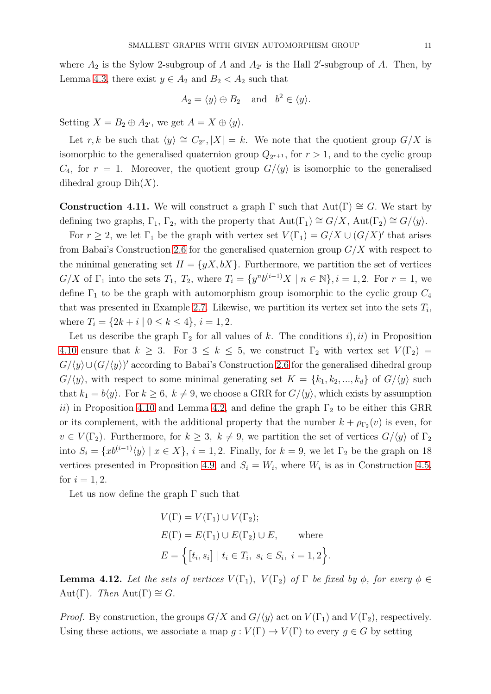where  $A_2$  is the Sylow 2-subgroup of A and  $A_{2'}$  is the Hall 2'-subgroup of A. Then, by Lemma [4.3,](#page-8-1) there exist  $y \in A_2$  and  $B_2 < A_2$  such that

$$
A_2 = \langle y \rangle \oplus B_2
$$
 and  $b^2 \in \langle y \rangle$ .

Setting  $X = B_2 \oplus A_{2'}$ , we get  $A = X \oplus \langle y \rangle$ .

Let r, k be such that  $\langle y \rangle \cong C_{2^r}$ ,  $|X| = k$ . We note that the quotient group  $G/X$  is isomorphic to the generalised quaternion group  $Q_{2^{r+1}}$ , for  $r > 1$ , and to the cyclic group  $C_4$ , for  $r = 1$ . Moreover, the quotient group  $G/\langle y \rangle$  is isomorphic to the generalised dihedral group  $Dih(X)$ .

<span id="page-10-0"></span>**Construction 4.11.** We will construct a graph  $\Gamma$  such that Aut( $\Gamma$ )  $\cong G$ . We start by defining two graphs,  $\Gamma_1$ ,  $\Gamma_2$ , with the property that  $Aut(\Gamma_1) \cong G/X$ ,  $Aut(\Gamma_2) \cong G/\langle y \rangle$ .

For  $r \geq 2$ , we let  $\Gamma_1$  be the graph with vertex set  $V(\Gamma_1) = G/X \cup (G/X)'$  that arises from Babai's Construction [2.6](#page-3-2) for the generalised quaternion group  $G/X$  with respect to the minimal generating set  $H = \{yX, bX\}$ . Furthermore, we partition the set of vertices  $G/X$  of  $\Gamma_1$  into the sets  $T_1$ ,  $T_2$ , where  $T_i = \{y^n b^{(i-1)}X \mid n \in \mathbb{N}\}, i = 1, 2$ . For  $r = 1$ , we define  $\Gamma_1$  to be the graph with automorphism group isomorphic to the cyclic group  $C_4$ that was presented in Example [2.7.](#page-4-1) Likewise, we partition its vertex set into the sets  $T_i$ , where  $T_i = \{2k + i \mid 0 \leq k \leq 4\}, i = 1, 2.$ 

Let us describe the graph  $\Gamma_2$  for all values of k. The conditions i, ii) in Proposition [4.10](#page-9-1) ensure that  $k \geq 3$ . For  $3 \leq k \leq 5$ , we construct  $\Gamma_2$  with vertex set  $V(\Gamma_2)$  =  $G/\langle y \rangle \cup (G/\langle y \rangle)'$  according to Babai's Construction [2.6](#page-3-2) for the generalised dihedral group  $G/\langle y \rangle$ , with respect to some minimal generating set  $K = \{k_1, k_2, ..., k_d\}$  of  $G/\langle y \rangle$  such that  $k_1 = b\langle y \rangle$ . For  $k \geq 6$ ,  $k \neq 9$ , we choose a GRR for  $G/\langle y \rangle$ , which exists by assumption ii) in Proposition [4.10](#page-9-1) and Lemma [4.2,](#page-7-2) and define the graph  $\Gamma_2$  to be either this GRR or its complement, with the additional property that the number  $k + \rho_{\Gamma_2}(v)$  is even, for  $v \in V(\Gamma_2)$ . Furthermore, for  $k \geq 3$ ,  $k \neq 9$ , we partition the set of vertices  $G/\langle y \rangle$  of  $\Gamma_2$ into  $S_i = \{xb^{(i-1)}\langle y\rangle | x \in X\}, i = 1, 2$ . Finally, for  $k = 9$ , we let  $\Gamma_2$  be the graph on 18 vertices presented in Proposition [4.9,](#page-9-0) and  $S_i = W_i$ , where  $W_i$  is as in Construction [4.5,](#page-8-2) for  $i = 1, 2$ .

Let us now define the graph  $\Gamma$  such that

$$
V(\Gamma) = V(\Gamma_1) \cup V(\Gamma_2);
$$
  
\n
$$
E(\Gamma) = E(\Gamma_1) \cup E(\Gamma_2) \cup E, \quad \text{where}
$$
  
\n
$$
E = \{ [t_i, s_i] \mid t_i \in T_i, s_i \in S_i, i = 1, 2 \}
$$

**Lemma 4.12.** Let the sets of vertices  $V(\Gamma_1)$ ,  $V(\Gamma_2)$  of  $\Gamma$  be fixed by  $\phi$ , for every  $\phi \in$ Aut(Γ). Then Aut(Γ)  $\cong$  G.

.

*Proof.* By construction, the groups  $G/X$  and  $G/\langle y \rangle$  act on  $V(\Gamma_1)$  and  $V(\Gamma_2)$ , respectively. Using these actions, we associate a map  $g: V(\Gamma) \to V(\Gamma)$  to every  $g \in G$  by setting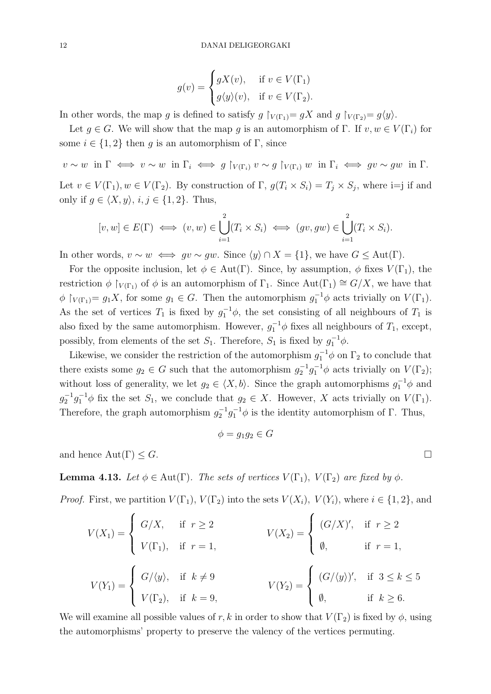$$
g(v) = \begin{cases} gX(v), & \text{if } v \in V(\Gamma_1) \\ g\langle y \rangle(v), & \text{if } v \in V(\Gamma_2). \end{cases}
$$

In other words, the map g is defined to satisfy  $g \upharpoonright_{V(\Gamma_1)} = gX$  and  $g \upharpoonright_{V(\Gamma_2)} = g\langle y \rangle$ .

Let  $g \in G$ . We will show that the map g is an automorphism of  $\Gamma$ . If  $v, w \in V(\Gamma_i)$  for some  $i \in \{1,2\}$  then g is an automorphism of Γ, since

 $v \sim w$  in  $\Gamma \iff v \sim w$  in  $\Gamma_i \iff g \upharpoonright_{V(\Gamma_i)} v \sim g \upharpoonright_{V(\Gamma_i)} w$  in  $\Gamma_i \iff gv \sim gw$  in  $\Gamma_i$ . Let  $v \in V(\Gamma_1)$ ,  $w \in V(\Gamma_2)$ . By construction of  $\Gamma$ ,  $g(T_i \times S_i) = T_j \times S_j$ , where i=j if and only if  $g \in \langle X, y \rangle, i, j \in \{1, 2\}$ . Thus,

$$
[v, w] \in E(\Gamma) \iff (v, w) \in \bigcup_{i=1}^{2} (T_i \times S_i) \iff (gv, gw) \in \bigcup_{i=1}^{2} (T_i \times S_i).
$$

In other words,  $v \sim w \iff gv \sim gw$ . Since  $\langle y \rangle \cap X = \{1\}$ , we have  $G \leq Aut(\Gamma)$ .

For the opposite inclusion, let  $\phi \in Aut(\Gamma)$ . Since, by assumption,  $\phi$  fixes  $V(\Gamma_1)$ , the restriction  $\phi \restriction_{V(\Gamma_1)}$  of  $\phi$  is an automorphism of  $\Gamma_1$ . Since Aut $(\Gamma_1) \cong G/X$ , we have that  $\phi \restriction_{V(\Gamma_1)} = g_1 X$ , for some  $g_1 \in G$ . Then the automorphism  $g_1^{-1} \phi$  acts trivially on  $V(\Gamma_1)$ . As the set of vertices  $T_1$  is fixed by  $g_1^{-1}\phi$ , the set consisting of all neighbours of  $T_1$  is also fixed by the same automorphism. However,  $g_1^{-1}\phi$  fixes all neighbours of  $T_1$ , except, possibly, from elements of the set  $S_1$ . Therefore,  $S_1$  is fixed by  $g_1^{-1}\phi$ .

Likewise, we consider the restriction of the automorphism  $g_1^{-1}\phi$  on  $\Gamma_2$  to conclude that there exists some  $g_2 \in G$  such that the automorphism  $g_2^{-1}g_1^{-1}\phi$  acts trivially on  $V(\Gamma_2)$ ; without loss of generality, we let  $g_2 \in \langle X, b \rangle$ . Since the graph automorphisms  $g_1^{-1} \phi$  and  $g_2^{-1}g_1^{-1}\phi$  fix the set  $S_1$ , we conclude that  $g_2 \in X$ . However, X acts trivially on  $V(\Gamma_1)$ . Therefore, the graph automorphism  $g_2^{-1}g_1^{-1}\phi$  is the identity automorphism of  $\Gamma$ . Thus,

$$
\phi = g_1 g_2 \in G
$$

and hence  $\text{Aut}(\Gamma) \leq G$ .

**Lemma 4.13.** Let  $\phi \in \text{Aut}(\Gamma)$ . The sets of vertices  $V(\Gamma_1)$ ,  $V(\Gamma_2)$  are fixed by  $\phi$ .

*Proof.* First, we partition  $V(\Gamma_1)$ ,  $V(\Gamma_2)$  into the sets  $V(X_i)$ ,  $V(Y_i)$ , where  $i \in \{1, 2\}$ , and

$$
V(X_1) = \begin{cases} G/X, & \text{if } r \ge 2 \\ V(\Gamma_1), & \text{if } r = 1, \end{cases} \qquad V(X_2) = \begin{cases} (G/X)', & \text{if } r \ge 2 \\ \emptyset, & \text{if } r = 1, \end{cases}
$$
\n
$$
V(Y_1) = \begin{cases} G/\langle y \rangle, & \text{if } k \ne 9 \\ V(\Gamma_2), & \text{if } k = 9, \end{cases} \qquad V(Y_2) = \begin{cases} (G/\langle y \rangle)', & \text{if } 3 \le k \le 5 \\ \emptyset, & \text{if } k \ge 6. \end{cases}
$$

We will examine all possible values of r, k in order to show that  $V(\Gamma_2)$  is fixed by  $\phi$ , using the automorphisms' property to preserve the valency of the vertices permuting.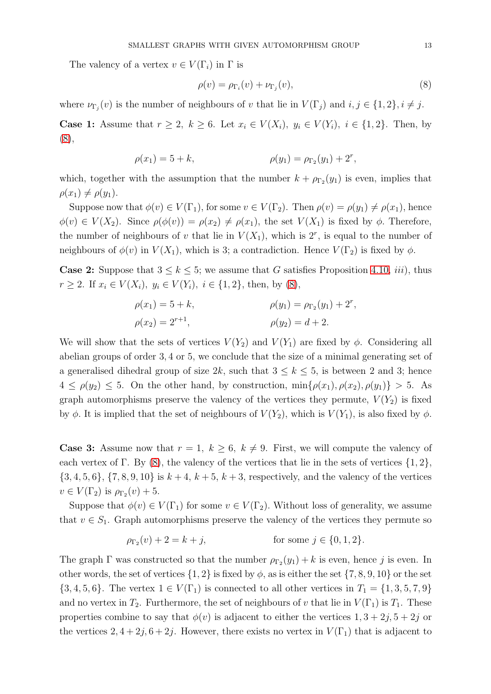The valency of a vertex  $v \in V(\Gamma_i)$  in  $\Gamma$  is

<span id="page-12-0"></span>
$$
\rho(v) = \rho_{\Gamma_i}(v) + \nu_{\Gamma_j}(v),\tag{8}
$$

where  $\nu_{\Gamma_j}(v)$  is the number of neighbours of v that lie in  $V(\Gamma_j)$  and  $i, j \in \{1, 2\}, i \neq j$ .

**Case 1:** Assume that  $r \geq 2$ ,  $k \geq 6$ . Let  $x_i \in V(X_i)$ ,  $y_i \in V(Y_i)$ ,  $i \in \{1, 2\}$ . Then, by [\(8\)](#page-12-0),

$$
\rho(x_1) = 5 + k, \qquad \rho(y_1) = \rho_{\Gamma_2}(y_1) + 2^r,
$$

which, together with the assumption that the number  $k + \rho_{\Gamma_2}(y_1)$  is even, implies that  $\rho(x_1) \neq \rho(y_1)$ .

Suppose now that  $\phi(v) \in V(\Gamma_1)$ , for some  $v \in V(\Gamma_2)$ . Then  $\rho(v) = \rho(y_1) \neq \rho(x_1)$ , hence  $\phi(v) \in V(X_2)$ . Since  $\rho(\phi(v)) = \rho(x_2) \neq \rho(x_1)$ , the set  $V(X_1)$  is fixed by  $\phi$ . Therefore, the number of neighbours of v that lie in  $V(X_1)$ , which is  $2^r$ , is equal to the number of neighbours of  $\phi(v)$  in  $V(X_1)$ , which is 3; a contradiction. Hence  $V(\Gamma_2)$  is fixed by  $\phi$ .

**Case 2:** Suppose that  $3 \leq k \leq 5$ ; we assume that G satisfies Proposition [4.10,](#page-9-1) *iii*), thus  $r \geq 2$ . If  $x_i \in V(X_i)$ ,  $y_i \in V(Y_i)$ ,  $i \in \{1, 2\}$ , then, by [\(8\)](#page-12-0),

$$
\rho(x_1) = 5 + k, \n\rho(y_1) = \rho_{\Gamma_2}(y_1) + 2^r, \n\rho(x_2) = 2^{r+1}, \n\rho(y_2) = d + 2.
$$

We will show that the sets of vertices  $V(Y_2)$  and  $V(Y_1)$  are fixed by  $\phi$ . Considering all abelian groups of order 3, 4 or 5, we conclude that the size of a minimal generating set of a generalised dihedral group of size 2k, such that  $3 \leq k \leq 5$ , is between 2 and 3; hence  $4 \leq \rho(y_2) \leq 5$ . On the other hand, by construction,  $\min{\rho(x_1), \rho(x_2), \rho(y_1)} > 5$ . As graph automorphisms preserve the valency of the vertices they permute,  $V(Y_2)$  is fixed by  $\phi$ . It is implied that the set of neighbours of  $V(Y_2)$ , which is  $V(Y_1)$ , is also fixed by  $\phi$ .

**Case 3:** Assume now that  $r = 1$ ,  $k \geq 6$ ,  $k \neq 9$ . First, we will compute the valency of each vertex of Γ. By [\(8\)](#page-12-0), the valency of the vertices that lie in the sets of vertices  $\{1, 2\}$ ,  $\{3, 4, 5, 6\}, \{7, 8, 9, 10\}$  is  $k + 4, k + 5, k + 3$ , respectively, and the valency of the vertices  $v \in V(\Gamma_2)$  is  $\rho_{\Gamma_2}(v) + 5$ .

Suppose that  $\phi(v) \in V(\Gamma_1)$  for some  $v \in V(\Gamma_2)$ . Without loss of generality, we assume that  $v \in S_1$ . Graph automorphisms preserve the valency of the vertices they permute so

$$
\rho_{\Gamma_2}(v) + 2 = k + j, \qquad \text{for some } j \in \{0, 1, 2\}.
$$

The graph  $\Gamma$  was constructed so that the number  $\rho_{\Gamma_2}(y_1) + k$  is even, hence j is even. In other words, the set of vertices  $\{1, 2\}$  is fixed by  $\phi$ , as is either the set  $\{7, 8, 9, 10\}$  or the set  $\{3, 4, 5, 6\}$ . The vertex  $1 \in V(\Gamma_1)$  is connected to all other vertices in  $T_1 = \{1, 3, 5, 7, 9\}$ and no vertex in  $T_2$ . Furthermore, the set of neighbours of v that lie in  $V(\Gamma_1)$  is  $T_1$ . These properties combine to say that  $\phi(v)$  is adjacent to either the vertices  $1, 3 + 2j, 5 + 2j$  or the vertices  $2, 4+2j, 6+2j$ . However, there exists no vertex in  $V(\Gamma_1)$  that is adjacent to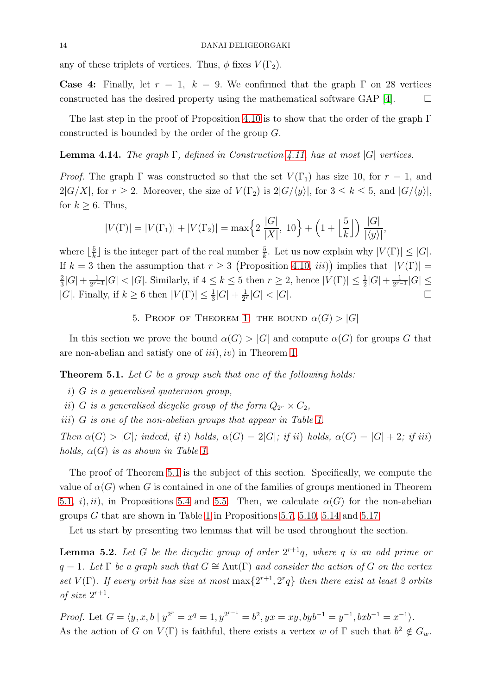any of these triplets of vertices. Thus,  $\phi$  fixes  $V(\Gamma_2)$ .

**Case 4:** Finally, let  $r = 1$ ,  $k = 9$ . We confirmed that the graph  $\Gamma$  on 28 vertices constructed has the desired property using the mathematical software GAP [\[4\]](#page-25-18).  $\Box$ 

The last step in the proof of Proposition [4.10](#page-9-1) is to show that the order of the graph  $\Gamma$ constructed is bounded by the order of the group G.

**Lemma 4.14.** The graph  $\Gamma$ , defined in Construction [4.11,](#page-10-0) has at most  $|G|$  vertices.

*Proof.* The graph  $\Gamma$  was constructed so that the set  $V(\Gamma_1)$  has size 10, for  $r = 1$ , and  $2|G/X|$ , for  $r \geq 2$ . Moreover, the size of  $V(\Gamma_2)$  is  $2|G/\langle y \rangle|$ , for  $3 \leq k \leq 5$ , and  $|G/\langle y \rangle|$ , for  $k \geq 6$ . Thus,

$$
|V(\Gamma)| = |V(\Gamma_1)| + |V(\Gamma_2)| = \max\left\{2\frac{|G|}{|X|}, 10\right\} + \left(1 + \left\lfloor\frac{5}{k}\right\rfloor\right) \frac{|G|}{|\langle y \rangle|},
$$

where  $\lfloor \frac{5}{k} \rfloor$  $\frac{5}{k}$  is the integer part of the real number  $\frac{5}{k}$ . Let us now explain why  $|V(\Gamma)| \leq |G|$ . If  $k = 3$  then the assumption that  $r \geq 3$  (Proposition [4.10,](#page-9-1) *iii*)) implies that  $|V(\Gamma)| =$ 2  $\frac{2}{3}|G| + \frac{1}{2^{r-1}}$  $\frac{1}{2^{r-1}}|G| < |G|$ . Similarly, if  $4 \leq k \leq 5$  then  $r \geq 2$ , hence  $|V(\Gamma)| \leq \frac{1}{2}|G| + \frac{1}{2^{r-1}}$  $\frac{1}{2^{r-1}}|G|\leq$ |G|. Finally, if  $k \geq 6$  then  $|V(\Gamma)| \leq \frac{1}{3}|G| + \frac{1}{2^n}$  $\frac{1}{2^{r}}|G| < |G|$ .

5. PROOF OF THEOREM [1:](#page-0-0) THE BOUND  $\alpha(G) > |G|$ 

In this section we prove the bound  $\alpha(G) > |G|$  and compute  $\alpha(G)$  for groups G that are non-abelian and satisfy one of  $iii$ ,  $iv$ ) in Theorem [1.](#page-0-0)

<span id="page-13-0"></span>**Theorem 5.1.** Let G be a group such that one of the following holds:

- i) G is a generalised quaternion group,
- ii) G is a generalised dicyclic group of the form  $Q_{2r} \times C_2$ ,

iii) G is one of the non-abelian groups that appear in Table [1.](#page-1-0)

Then  $\alpha(G) > |G|$ ; indeed, if i) holds,  $\alpha(G) = 2|G|$ ; if ii) holds,  $\alpha(G) = |G| + 2$ ; if iii) holds,  $\alpha(G)$  is as shown in Table [1.](#page-1-0)

The proof of Theorem [5.1](#page-13-0) is the subject of this section. Specifically, we compute the value of  $\alpha(G)$  when G is contained in one of the families of groups mentioned in Theorem [5.1,](#page-13-0) i), ii), in Propositions [5.4](#page-15-0) and [5.5.](#page-15-1) Then, we calculate  $\alpha(G)$  for the non-abelian groups  $G$  that are shown in Table [1](#page-1-0) in Propositions [5.7,](#page-16-0) [5.10,](#page-18-0) [5.14](#page-20-0) and [5.17.](#page-22-0)

Let us start by presenting two lemmas that will be used throughout the section.

<span id="page-13-1"></span>**Lemma 5.2.** Let G be the dicyclic group of order  $2^{r+1}q$ , where q is an odd prime or  $q = 1$ . Let  $\Gamma$  be a graph such that  $G \cong \text{Aut}(\Gamma)$  and consider the action of G on the vertex set  $V(\Gamma)$ . If every orbit has size at most  $\max\{2^{r+1}, 2^r q\}$  then there exist at least 2 orbits of size  $2^{r+1}$ .

Proof. Let  $G = \langle y, x, b \mid y^{2^r} = x^q = 1, y^{2^{r-1}} = b^2, yx = xy, byb^{-1} = y^{-1}, bxb^{-1} = x^{-1} \rangle$ . As the action of G on  $V(\Gamma)$  is faithful, there exists a vertex w of  $\Gamma$  such that  $b^2 \notin G_w$ .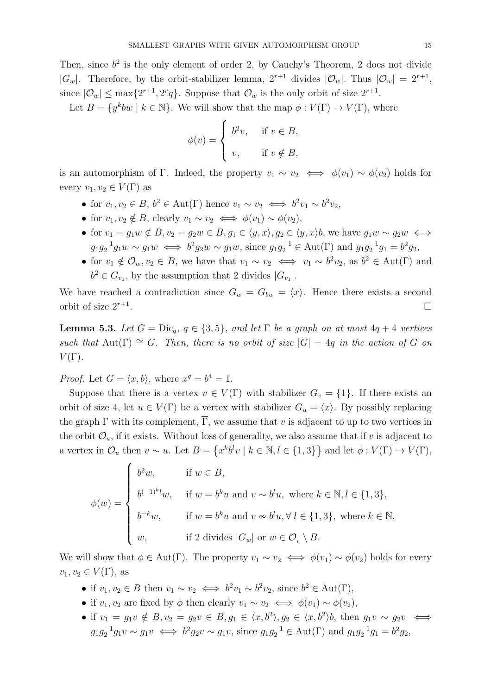Then, since  $b^2$  is the only element of order 2, by Cauchy's Theorem, 2 does not divide  $|G_w|$ . Therefore, by the orbit-stabilizer lemma,  $2^{r+1}$  divides  $|\mathcal{O}_w|$ . Thus  $|\mathcal{O}_w| = 2^{r+1}$ , since  $|\mathcal{O}_w| \le \max\{2^{r+1}, 2^r q\}$ . Suppose that  $\mathcal{O}_w$  is the only orbit of size  $2^{r+1}$ .

Let  $B = \{y^kbw \mid k \in \mathbb{N}\}\$ . We will show that the map  $\phi: V(\Gamma) \to V(\Gamma)$ , where

$$
\phi(v) = \begin{cases} b^2 v, & \text{if } v \in B, \\ v, & \text{if } v \notin B, \end{cases}
$$

is an automorphism of Γ. Indeed, the property  $v_1 \sim v_2 \iff \phi(v_1) \sim \phi(v_2)$  holds for every  $v_1, v_2 \in V(\Gamma)$  as

- for  $v_1, v_2 \in B$ ,  $b^2 \in \text{Aut}(\Gamma)$  hence  $v_1 \sim v_2 \iff b^2 v_1 \sim b^2 v_2$ ,
- for  $v_1, v_2 \notin B$ , clearly  $v_1 \sim v_2 \iff \phi(v_1) \sim \phi(v_2)$ ,
- for  $v_1 = g_1w \notin B$ ,  $v_2 = g_2w \in B$ ,  $g_1 \in \langle y, x \rangle$ ,  $g_2 \in \langle y, x \rangle$ , we have  $g_1w \sim g_2w \iff$  $g_1 g_2^{-1} g_1 w \sim g_1 w \iff b^2 g_2 w \sim g_1 w$ , since  $g_1 g_2^{-1} \in \text{Aut}(\Gamma)$  and  $g_1 g_2^{-1} g_1 = b^2 g_2$ ,
- for  $v_1 \notin \mathcal{O}_w, v_2 \in B$ , we have that  $v_1 \sim v_2 \iff v_1 \sim b^2 v_2$ , as  $b^2 \in \text{Aut}(\Gamma)$  and  $b^2 \in G_{v_1}$ , by the assumption that 2 divides  $|G_{v_1}|$ .

We have reached a contradiction since  $G_w = G_{bw} = \langle x \rangle$ . Hence there exists a second orbit of size  $2^{r+1}$ . .

<span id="page-14-0"></span>**Lemma 5.3.** Let  $G = \text{Dic}_q$ ,  $q \in \{3, 5\}$ , and let  $\Gamma$  be a graph on at most  $4q + 4$  vertices such that Aut(Γ)  $\cong G$ . Then, there is no orbit of size  $|G| = 4q$  in the action of G on  $V(\Gamma)$ .

*Proof.* Let  $G = \langle x, b \rangle$ , where  $x^q = b^4 = 1$ .

Suppose that there is a vertex  $v \in V(\Gamma)$  with stabilizer  $G_v = \{1\}$ . If there exists an orbit of size 4, let  $u \in V(\Gamma)$  be a vertex with stabilizer  $G_u = \langle x \rangle$ . By possibly replacing the graph  $\Gamma$  with its complement,  $\overline{\Gamma}$ , we assume that v is adjacent to up to two vertices in the orbit  $\mathcal{O}_u$ , if it exists. Without loss of generality, we also assume that if v is adjacent to a vertex in  $\mathcal{O}_u$  then  $v \sim u$ . Let  $B = \{x^k b^l v \mid k \in \mathbb{N}, l \in \{1,3\}\}\$  and let  $\phi : V(\Gamma) \to V(\Gamma)$ ,

$$
\phi(w) = \begin{cases}\nb^2 w, & \text{if } w \in B, \\
b^{(-1)^k l} w, & \text{if } w = b^k u \text{ and } v \sim b^l u, \text{ where } k \in \mathbb{N}, l \in \{1, 3\}, \\
b^{-k} w, & \text{if } w = b^k u \text{ and } v \nsim b^l u, \forall l \in \{1, 3\}, \text{ where } k \in \mathbb{N}, \\
w, & \text{if } 2 \text{ divides } |G_w| \text{ or } w \in \mathcal{O}_v \setminus B.\n\end{cases}
$$

We will show that  $\phi \in Aut(\Gamma)$ . The property  $v_1 \sim v_2 \iff \phi(v_1) \sim \phi(v_2)$  holds for every  $v_1, v_2 \in V(\Gamma)$ , as

- if  $v_1, v_2 \in B$  then  $v_1 \sim v_2 \iff b^2 v_1 \sim b^2 v_2$ , since  $b^2 \in \text{Aut}(\Gamma)$ ,
- if  $v_1, v_2$  are fixed by  $\phi$  then clearly  $v_1 \sim v_2 \iff \phi(v_1) \sim \phi(v_2)$ ,
- if  $v_1 = g_1 v \notin B$ ,  $v_2 = g_2 v \in B$ ,  $g_1 \in \langle x, b^2 \rangle$ ,  $g_2 \in \langle x, b^2 \rangle$ , then  $g_1 v \sim g_2 v \iff$  $g_1 g_2^{-1} g_1 v \sim g_1 v \iff b^2 g_2 v \sim g_1 v$ , since  $g_1 g_2^{-1} \in \text{Aut}(\Gamma)$  and  $g_1 g_2^{-1} g_1 = b^2 g_2$ ,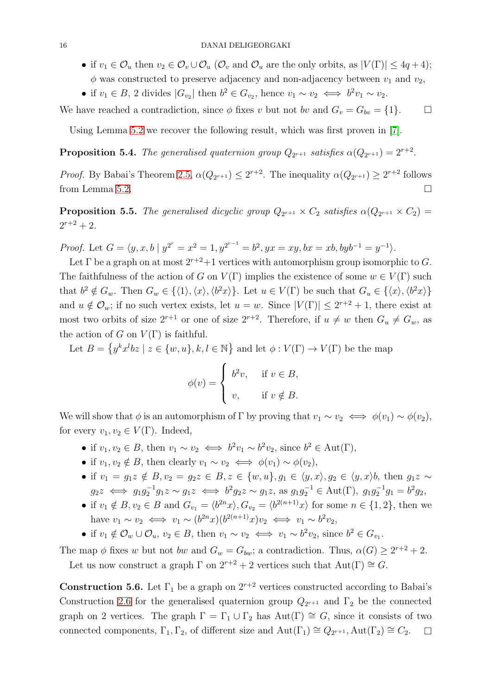- if  $v_1 \in \mathcal{O}_u$  then  $v_2 \in \mathcal{O}_v \cup \mathcal{O}_u$  ( $\mathcal{O}_v$  and  $\mathcal{O}_u$  are the only orbits, as  $|V(\Gamma)| \leq 4q+4$ );  $\phi$  was constructed to preserve adjacency and non-adjacency between  $v_1$  and  $v_2$ ,
- if  $v_1 \in B$ , 2 divides  $|G_{v_2}|$  then  $b^2 \in G_{v_2}$ , hence  $v_1 \sim v_2 \iff b^2 v_1 \sim v_2$ .

We have reached a contradiction, since  $\phi$  fixes v but not bv and  $G_v = G_{bv} = \{1\}.$ 

Using Lemma [5.2](#page-13-1) we recover the following result, which was first proven in [\[7\]](#page-25-7).

<span id="page-15-0"></span>**Proposition 5.4.** The generalised quaternion group  $Q_{2^{r+1}}$  satisfies  $\alpha(Q_{2^{r+1}}) = 2^{r+2}$ .

*Proof.* By Babai's Theorem [2.5,](#page-3-1)  $\alpha(Q_{2^{r+1}}) \leq 2^{r+2}$ . The inequality  $\alpha(Q_{2^{r+1}}) \geq 2^{r+2}$  follows from Lemma [5.2.](#page-13-1)

<span id="page-15-1"></span>**Proposition 5.5.** The generalised dicyclic group  $Q_{2^{r+1}} \times C_2$  satisfies  $\alpha(Q_{2^{r+1}} \times C_2)$  =  $2^{r+2}+2$ .

*Proof.* Let  $G = \langle y, x, b \mid y^{2^r} = x^2 = 1, y^{2^{r-1}} = b^2, yx = xy, bx = xb, byb^{-1} = y^{-1} \rangle$ .

Let  $\Gamma$  be a graph on at most  $2^{r+2}+1$  vertices with automorphism group isomorphic to G. The faithfulness of the action of G on  $V(\Gamma)$  implies the existence of some  $w \in V(\Gamma)$  such that  $b^2 \notin G_w$ . Then  $G_w \in \{ \langle 1 \rangle, \langle x \rangle, \langle b^2 x \rangle \}$ . Let  $u \in V(\Gamma)$  be such that  $G_u \in \{ \langle x \rangle, \langle b^2 x \rangle \}$ and  $u \notin \mathcal{O}_w$ ; if no such vertex exists, let  $u = w$ . Since  $|V(\Gamma)| \leq 2^{r+2} + 1$ , there exist at most two orbits of size  $2^{r+1}$  or one of size  $2^{r+2}$ . Therefore, if  $u \neq w$  then  $G_u \neq G_w$ , as the action of G on  $V(\Gamma)$  is faithful.

Let  $B = \{y^k x^l b z \mid z \in \{w, u\}, k, l \in \mathbb{N}\}\$ and let  $\phi : V(\Gamma) \to V(\Gamma)$  be the map

$$
\phi(v) = \begin{cases} b^2 v, & \text{if } v \in B, \\ v, & \text{if } v \notin B. \end{cases}
$$

We will show that  $\phi$  is an automorphism of Γ by proving that  $v_1 \sim v_2 \iff \phi(v_1) \sim \phi(v_2)$ , for every  $v_1, v_2 \in V(\Gamma)$ . Indeed,

- if  $v_1, v_2 \in B$ , then  $v_1 \sim v_2 \iff b^2 v_1 \sim b^2 v_2$ , since  $b^2 \in \text{Aut}(\Gamma)$ ,
- if  $v_1, v_2 \notin B$ , then clearly  $v_1 \sim v_2 \iff \phi(v_1) \sim \phi(v_2)$ ,
- if  $v_1 = g_1z \notin B$ ,  $v_2 = g_2z \in B$ ,  $z \in \{w, u\}$ ,  $g_1 \in \langle y, x \rangle$ ,  $g_2 \in \langle y, x \rangle$ , then  $g_1z \sim$  $g_2z \iff g_1g_2^{-1}g_1z \sim g_1z \iff b^2g_2z \sim g_1z$ , as  $g_1g_2^{-1} \in \text{Aut}(\Gamma)$ ,  $g_1g_2^{-1}g_1 = b^2g_2$ ,
- if  $v_1 \notin B, v_2 \in B$  and  $G_{v_1} = \langle b^{2n}x \rangle, G_{v_2} = \langle b^{2(n+1)}x \rangle$  for some  $n \in \{1, 2\}$ , then we have  $v_1 \sim v_2 \iff v_1 \sim (b^{2n}x)(b^{2(n+1)}x)v_2 \iff v_1 \sim b^2v_2$ ,
- if  $v_1 \notin \mathcal{O}_w \cup \mathcal{O}_u$ ,  $v_2 \in B$ , then  $v_1 \sim v_2 \iff v_1 \sim b^2 v_2$ , since  $b^2 \in G_{v_1}$ .

The map  $\phi$  fixes w but not bw and  $G_w = G_{bw}$ ; a contradiction. Thus,  $\alpha(G) \geq 2^{r+2} + 2$ .

Let us now construct a graph  $\Gamma$  on  $2^{r+2} + 2$  vertices such that  $Aut(\Gamma) \cong G$ .

**Construction 5.6.** Let  $\Gamma_1$  be a graph on  $2^{r+2}$  vertices constructed according to Babai's Construction [2.6](#page-3-2) for the generalised quaternion group  $Q_{2^{r+1}}$  and  $\Gamma_2$  be the connected graph on 2 vertices. The graph  $\Gamma = \Gamma_1 \cup \Gamma_2$  has  $Aut(\Gamma) \cong G$ , since it consists of two connected components,  $\Gamma_1, \Gamma_2$ , of different size and  $Aut(\Gamma_1) \cong Q_{2^{r+1}}$ ,  $Aut(\Gamma_2) \cong C_2$ .  $\Box$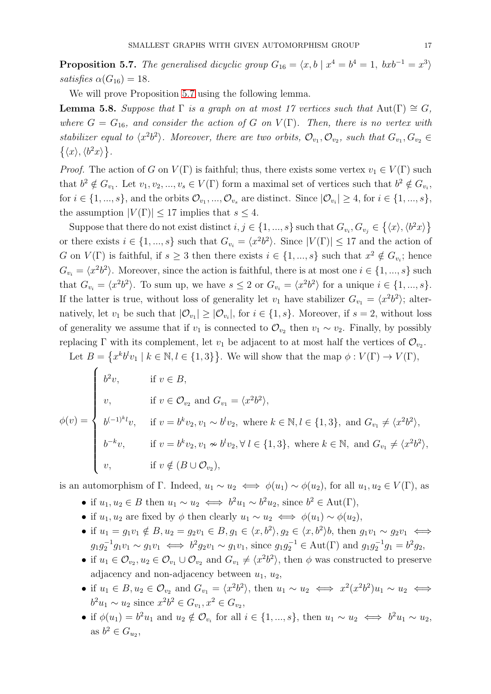<span id="page-16-0"></span>**Proposition 5.7.** The generalised dicyclic group  $G_{16} = \langle x, b \mid x^4 = b^4 = 1, bxb^{-1} = x^3 \rangle$ satisfies  $\alpha(G_{16}) = 18$ .

We will prove Proposition [5.7](#page-16-0) using the following lemma.

<span id="page-16-1"></span>**Lemma 5.8.** Suppose that  $\Gamma$  is a graph on at most 17 vertices such that Aut( $\Gamma$ )  $\cong G$ , where  $G = G_{16}$ , and consider the action of G on  $V(\Gamma)$ . Then, there is no vertex with stabilizer equal to  $\langle x^2b^2 \rangle$ . Moreover, there are two orbits,  $\mathcal{O}_{v_1}, \mathcal{O}_{v_2}$ , such that  $G_{v_1}, G_{v_2} \in$  $\{\langle x\rangle,\langle b^2x\rangle\}.$ 

*Proof.* The action of G on  $V(\Gamma)$  is faithful; thus, there exists some vertex  $v_1 \in V(\Gamma)$  such that  $b^2 \notin G_{v_1}$ . Let  $v_1, v_2, ..., v_s \in V(\Gamma)$  form a maximal set of vertices such that  $b^2 \notin G_{v_i}$ , for  $i \in \{1, ..., s\}$ , and the orbits  $\mathcal{O}_{v_1}, \ldots, \mathcal{O}_{v_s}$  are distinct. Since  $|\mathcal{O}_{v_i}| \geq 4$ , for  $i \in \{1, ..., s\}$ , the assumption  $|V(\Gamma)| \leq 17$  implies that  $s \leq 4$ .

Suppose that there do not exist distinct  $i, j \in \{1, ..., s\}$  such that  $G_{v_i}, G_{v_j} \in \{\langle x \rangle, \langle b^2 x \rangle\}$ or there exists  $i \in \{1, ..., s\}$  such that  $G_{v_i} = \langle x^2 b^2 \rangle$ . Since  $|V(\Gamma)| \leq 17$  and the action of G on  $V(\Gamma)$  is faithful, if  $s \geq 3$  then there exists  $i \in \{1, ..., s\}$  such that  $x^2 \notin G_{v_i}$ ; hence  $G_{v_i} = \langle x^2 b^2 \rangle$ . Moreover, since the action is faithful, there is at most one  $i \in \{1, ..., s\}$  such that  $G_{v_i} = \langle x^2 b^2 \rangle$ . To sum up, we have  $s \leq 2$  or  $G_{v_i} = \langle x^2 b^2 \rangle$  for a unique  $i \in \{1, ..., s\}$ . If the latter is true, without loss of generality let  $v_1$  have stabilizer  $G_{v_1} = \langle x^2 b^2 \rangle$ ; alternatively, let  $v_1$  be such that  $|\mathcal{O}_{v_1}| \geq |\mathcal{O}_{v_i}|$ , for  $i \in \{1, s\}$ . Moreover, if  $s = 2$ , without loss of generality we assume that if  $v_1$  is connected to  $\mathcal{O}_{v_2}$  then  $v_1 \sim v_2$ . Finally, by possibly replacing  $\Gamma$  with its complement, let  $v_1$  be adjacent to at most half the vertices of  $\mathcal{O}_{v_2}$ .

Let  $B = \{x^k b^l v_1 \mid k \in \mathbb{N}, l \in \{1,3\}\}\.$  We will show that the map  $\phi: V(\Gamma) \to V(\Gamma)$ ,

$$
\phi(v) = \begin{cases}\nb^2 v, & \text{if } v \in B, \\
v, & \text{if } v \in \mathcal{O}_{v_2} \text{ and } G_{v_1} = \langle x^2 b^2 \rangle, \\
b^{(-1)^k l} v, & \text{if } v = b^k v_2, v_1 \sim b^l v_2, \text{ where } k \in \mathbb{N}, l \in \{1, 3\}, \text{ and } G_{v_1} \neq \langle x^2 b^2 \rangle, \\
b^{-k} v, & \text{if } v = b^k v_2, v_1 \nsim b^l v_2, \forall l \in \{1, 3\}, \text{ where } k \in \mathbb{N}, \text{ and } G_{v_1} \neq \langle x^2 b^2 \rangle, \\
v, & \text{if } v \notin (B \cup \mathcal{O}_{v_2}),\n\end{cases}
$$

is an automorphism of Γ. Indeed,  $u_1 \sim u_2 \iff \phi(u_1) \sim \phi(u_2)$ , for all  $u_1, u_2 \in V(\Gamma)$ , as

- if  $u_1, u_2 \in B$  then  $u_1 \sim u_2 \iff b^2 u_1 \sim b^2 u_2$ , since  $b^2 \in \text{Aut}(\Gamma)$ ,
- if  $u_1, u_2$  are fixed by  $\phi$  then clearly  $u_1 \sim u_2 \iff \phi(u_1) \sim \phi(u_2)$ ,
- if  $u_1 = g_1v_1 \notin B, u_2 = g_2v_1 \in B, g_1 \in \langle x, b^2 \rangle, g_2 \in \langle x, b^2 \rangle$ , then  $g_1v_1 \sim g_2v_1 \iff$  $g_1 g_2^{-1} g_1 v_1 \sim g_1 v_1 \iff b^2 g_2 v_1 \sim g_1 v_1$ , since  $g_1 g_2^{-1} \in \text{Aut}(\Gamma)$  and  $g_1 g_2^{-1} g_1 = b^2 g_2$ ,
- if  $u_1 \in \mathcal{O}_{v_2}, u_2 \in \mathcal{O}_{v_1} \cup \mathcal{O}_{v_2}$  and  $G_{v_1} \neq \langle x^2 b^2 \rangle$ , then  $\phi$  was constructed to preserve adjacency and non-adjacency between  $u_1, u_2$ ,
- if  $u_1 \in B, u_2 \in \mathcal{O}_{v_2}$  and  $G_{v_1} = \langle x^2 b^2 \rangle$ , then  $u_1 \sim u_2 \iff x^2 (x^2 b^2) u_1 \sim u_2 \iff$  $b^2u_1 \sim u_2$  since  $x^2b^2 \in G_{v_1}, x^2 \in G_{v_2},$
- if  $\phi(u_1) = b^2 u_1$  and  $u_2 \notin \mathcal{O}_{v_i}$  for all  $i \in \{1, ..., s\}$ , then  $u_1 \sim u_2 \iff b^2 u_1 \sim u_2$ , as  $b^2 \in G_{u_2}$ ,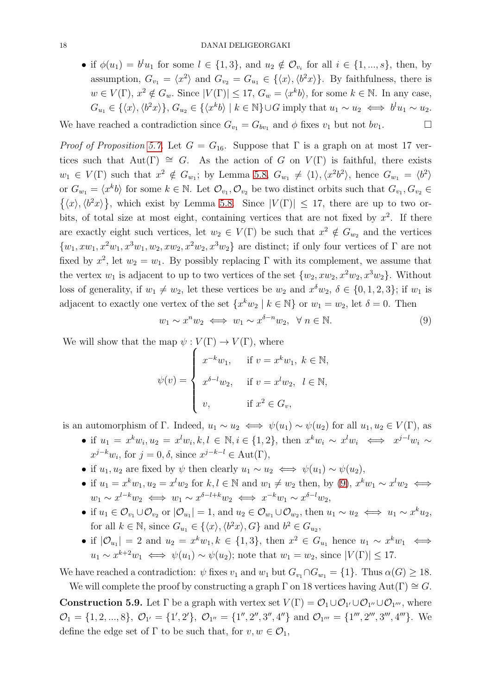• if  $\phi(u_1) = b^l u_1$  for some  $l \in \{1,3\}$ , and  $u_2 \notin \mathcal{O}_{v_i}$  for all  $i \in \{1, ..., s\}$ , then, by assumption,  $G_{v_1} = \langle x^2 \rangle$  and  $G_{v_2} = G_{u_1} \in \{\langle x \rangle, \langle b^2 x \rangle\}$ . By faithfulness, there is  $w \in V(\Gamma)$ ,  $x^2 \notin G_w$ . Since  $|V(\Gamma)| \leq 17$ ,  $G_w = \langle x^k b \rangle$ , for some  $k \in \mathbb{N}$ . In any case,  $G_{u_1} \in \{ \langle x \rangle, \langle b^2 x \rangle \}, G_{u_2} \in \{ \langle x^k b \rangle \mid k \in \mathbb{N} \} \cup G$  imply that  $u_1 \sim u_2 \iff b^l u_1 \sim u_2$ .

We have reached a contradiction since  $G_{v_1} = G_{bv_1}$  and  $\phi$  fixes  $v_1$  but not  $bv_1$ .

*Proof of Proposition [5.7.](#page-16-0)* Let  $G = G_{16}$ . Suppose that  $\Gamma$  is a graph on at most 17 vertices such that  $Aut(\Gamma) \cong G$ . As the action of G on  $V(\Gamma)$  is faithful, there exists  $w_1 \in V(\Gamma)$  such that  $x^2 \notin G_{w_1}$ ; by Lemma [5.8,](#page-16-1)  $G_{w_1} \neq \langle 1 \rangle, \langle x^2 b^2 \rangle$ , hence  $G_{w_1} = \langle b^2 \rangle$ or  $G_{w_1} = \langle x^k b \rangle$  for some  $k \in \mathbb{N}$ . Let  $\mathcal{O}_{v_1}, \mathcal{O}_{v_2}$  be two distinct orbits such that  $G_{v_1}, G_{v_2} \in$  $\{\langle x\rangle,\langle b^2x\rangle\}$ , which exist by Lemma [5.8.](#page-16-1) Since  $|V(\Gamma)| \leq 17$ , there are up to two orbits, of total size at most eight, containing vertices that are not fixed by  $x^2$ . If there are exactly eight such vertices, let  $w_2 \in V(\Gamma)$  be such that  $x^2 \notin G_{w_2}$  and the vertices  $\{w_1, xw_1, x^2w_1, x^3w_1, w_2, xw_2, x^2w_2, x^3w_2\}$  are distinct; if only four vertices of  $\Gamma$  are not fixed by  $x^2$ , let  $w_2 = w_1$ . By possibly replacing  $\Gamma$  with its complement, we assume that the vertex  $w_1$  is adjacent to up to two vertices of the set  $\{w_2, xw_2, x^2w_2, x^3w_2\}$ . Without loss of generality, if  $w_1 \neq w_2$ , let these vertices be  $w_2$  and  $x^{\delta}w_2$ ,  $\delta \in \{0, 1, 2, 3\}$ ; if  $w_1$  is adjacent to exactly one vertex of the set  $\{x^k w_2 \mid k \in \mathbb{N}\}$  or  $w_1 = w_2$ , let  $\delta = 0$ . Then

<span id="page-17-0"></span>
$$
w_1 \sim x^n w_2 \iff w_1 \sim x^{\delta - n} w_2, \quad \forall \ n \in \mathbb{N}.
$$
 (9)

We will show that the map  $\psi : V(\Gamma) \to V(\Gamma)$ , where

$$
\psi(v) = \begin{cases}\nx^{-k}w_1, & \text{if } v = x^k w_1, \ k \in \mathbb{N}, \\
x^{\delta - l} w_2, & \text{if } v = x^l w_2, \ l \in \mathbb{N}, \\
v, & \text{if } x^2 \in G_v,\n\end{cases}
$$

is an automorphism of Γ. Indeed,  $u_1 \sim u_2 \iff \psi(u_1) \sim \psi(u_2)$  for all  $u_1, u_2 \in V(\Gamma)$ , as

- if  $u_1 = x^k w_i, u_2 = x^l w_i, k, l \in \mathbb{N}, i \in \{1, 2\}$ , then  $x^k w_i \sim x^l w_i \iff x^{j-l} w_i \sim$  $x^{j-k}w_i$ , for  $j=0, \delta$ , since  $x^{j-k-l} \in \text{Aut}(\Gamma)$ ,
- if  $u_1, u_2$  are fixed by  $\psi$  then clearly  $u_1 \sim u_2 \iff \psi(u_1) \sim \psi(u_2)$ ,
- if  $u_1 = x^k w_1, u_2 = x^l w_2$  for  $k, l \in \mathbb{N}$  and  $w_1 \neq w_2$  then, by [\(9\)](#page-17-0),  $x^k w_1 \sim x^l w_2 \iff$  $w_1 \sim x^{l-k} w_2 \iff w_1 \sim x^{\delta-l+k} w_2 \iff x^{-k} w_1 \sim x^{\delta-l} w_2$
- if  $u_1 \in \mathcal{O}_{v_1} \cup \mathcal{O}_{v_2}$  or  $|\mathcal{O}_{u_1}| = 1$ , and  $u_2 \in \mathcal{O}_{w_1} \cup \mathcal{O}_{w_2}$ , then  $u_1 \sim u_2 \iff u_1 \sim x^k u_2$ , for all  $k \in \mathbb{N}$ , since  $G_{u_1} \in \{ \langle x \rangle, \langle b^2 x \rangle, G \}$  and  $b^2 \in G_{u_2}$ ,
- if  $|\mathcal{O}_{u_1}| = 2$  and  $u_2 = x^k w_1, k \in \{1,3\}$ , then  $x^2 \in G_{u_1}$  hence  $u_1 \sim x^k w_1 \iff$  $u_1 \sim x^{k+2} w_1 \iff \psi(u_1) \sim \psi(u_2)$ ; note that  $w_1 = w_2$ , since  $|V(\Gamma)| \leq 17$ .

We have reached a contradiction:  $\psi$  fixes  $v_1$  and  $w_1$  but  $G_{v_1} \cap G_{w_1} = \{1\}$ . Thus  $\alpha(G) \geq 18$ .

We will complete the proof by constructing a graph  $\Gamma$  on 18 vertices having Aut( $\Gamma$ )  $\cong G$ . **Construction 5.9.** Let  $\Gamma$  be a graph with vertex set  $V(\Gamma) = \mathcal{O}_1 \cup \mathcal{O}_{1'} \cup \mathcal{O}_{1''} \cup \mathcal{O}_{1'''}$ , where  $\mathcal{O}_1 = \{1, 2, ..., 8\}, \ \mathcal{O}_{1'} = \{1', 2'\}, \ \mathcal{O}_{1''} = \{1'', 2'', 3'', 4''\} \text{ and } \mathcal{O}_{1'''} = \{1''', 2''', 3''', 4'''\}.$  We define the edge set of  $\Gamma$  to be such that, for  $v, w \in \mathcal{O}_1$ ,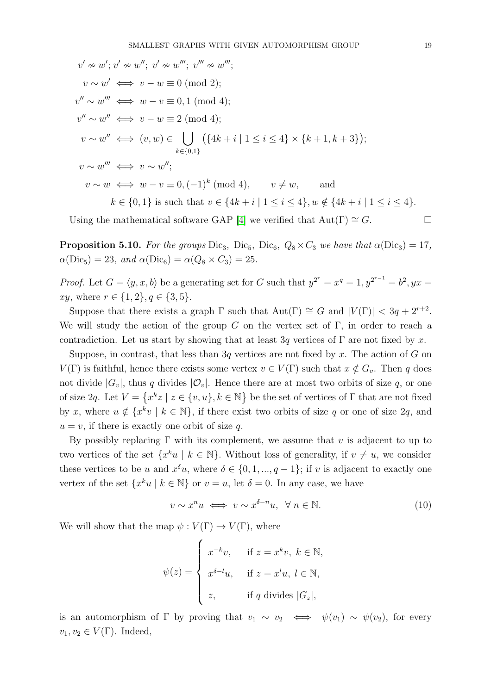$$
v' \approx w'; v' \approx w''; v' \approx w'''; v''' \approx w''';
$$
  
\n
$$
v \sim w' \iff v - w \equiv 0 \pmod{2};
$$
  
\n
$$
v'' \sim w''' \iff w - v \equiv 0, 1 \pmod{4};
$$
  
\n
$$
v'' \sim w'' \iff v - w \equiv 2 \pmod{4};
$$
  
\n
$$
v \sim w'' \iff (v, w) \in \bigcup_{k \in \{0, 1\}} (\{4k + i | 1 \le i \le 4\} \times \{k + 1, k + 3\});
$$
  
\n
$$
v \sim w''' \iff v \sim w'';
$$
  
\n
$$
v \sim w \iff w - v \equiv 0, (-1)^k \pmod{4}, \qquad v \ne w, \qquad \text{and}
$$
  
\n
$$
k \in \{0, 1\} \text{ is such that } v \in \{4k + i | 1 \le i \le 4\}, w \notin \{4k + i | 1 \le i \le 4\}.
$$

Using the mathematical software GAP [\[4\]](#page-25-18) we verified that  $Aut(\Gamma) \cong G$ .

<span id="page-18-0"></span>**Proposition 5.10.** For the groups Dic<sub>3</sub>, Dic<sub>5</sub>, Dic<sub>6</sub>,  $Q_8 \times C_3$  we have that  $\alpha$ (Dic<sub>3</sub>) = 17,  $\alpha(\text{Dic}_5) = 23$ , and  $\alpha(\text{Dic}_6) = \alpha(Q_8 \times C_3) = 25$ .

*Proof.* Let  $G = \langle y, x, b \rangle$  be a generating set for G such that  $y^{2^r} = x^q = 1, y^{2^{r-1}} = b^2, yx =$ *xy*, where  $r \in \{1, 2\}$ ,  $q \in \{3, 5\}$ .

Suppose that there exists a graph  $\Gamma$  such that  $\text{Aut}(\Gamma) \cong G$  and  $|V(\Gamma)| < 3q + 2^{r+2}$ . We will study the action of the group G on the vertex set of  $\Gamma$ , in order to reach a contradiction. Let us start by showing that at least 3q vertices of  $\Gamma$  are not fixed by x.

Suppose, in contrast, that less than 3q vertices are not fixed by x. The action of  $G$  on  $V(\Gamma)$  is faithful, hence there exists some vertex  $v \in V(\Gamma)$  such that  $x \notin G_v$ . Then q does not divide  $|G_v|$ , thus q divides  $|O_v|$ . Hence there are at most two orbits of size q, or one of size 2q. Let  $V = \{x^k z \mid z \in \{v, u\}, k \in \mathbb{N}\}\)$  be the set of vertices of  $\Gamma$  that are not fixed by x, where  $u \notin \{x^k v \mid k \in \mathbb{N}\}\$ , if there exist two orbits of size q or one of size 2q, and  $u = v$ , if there is exactly one orbit of size q.

By possibly replacing  $\Gamma$  with its complement, we assume that v is adjacent to up to two vertices of the set  $\{x^k u \mid k \in \mathbb{N}\}\$ . Without loss of generality, if  $v \neq u$ , we consider these vertices to be u and  $x^{\delta}u$ , where  $\delta \in \{0, 1, ..., q-1\}$ ; if v is adjacent to exactly one vertex of the set  $\{x^k u \mid k \in \mathbb{N}\}$  or  $v = u$ , let  $\delta = 0$ . In any case, we have

<span id="page-18-1"></span>
$$
v \sim x^n u \iff v \sim x^{\delta - n} u, \ \forall \ n \in \mathbb{N}.
$$
 (10)

We will show that the map  $\psi : V(\Gamma) \to V(\Gamma)$ , where

$$
\psi(z) = \begin{cases}\nx^{-k}v, & \text{if } z = x^k v, \ k \in \mathbb{N}, \\
x^{\delta - l}u, & \text{if } z = x^l u, \ l \in \mathbb{N}, \\
z, & \text{if } q \text{ divides } |G_z|,\n\end{cases}
$$

is an automorphism of Γ by proving that  $v_1 \sim v_2 \iff \psi(v_1) \sim \psi(v_2)$ , for every  $v_1, v_2 \in V(\Gamma)$ . Indeed,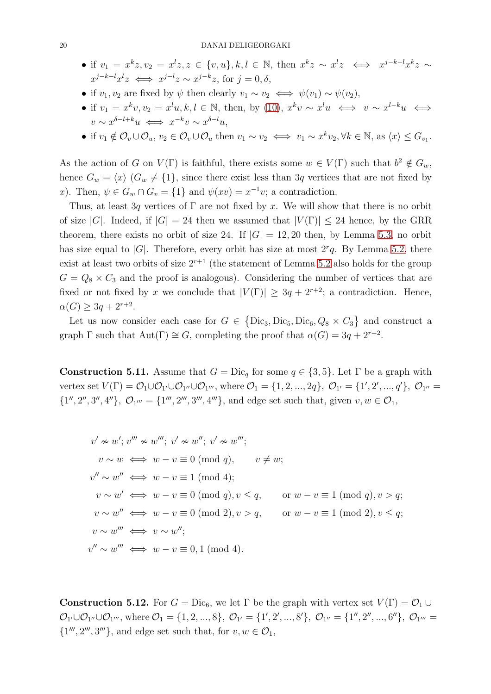- if  $v_1 = x^k z, v_2 = x^l z, z \in \{v, u\}, k, l \in \mathbb{N}$ , then  $x^k z \sim x^l z \iff x^{j-k-l} x^k z \sim$  $x^{j-k-l}x^l z \iff x^{j-l}z \sim x^{j-k}z$ , for  $j=0, \delta$ ,
- if  $v_1, v_2$  are fixed by  $\psi$  then clearly  $v_1 \sim v_2 \iff \psi(v_1) \sim \psi(v_2)$ ,
- if  $v_1 = x^k v, v_2 = x^l u, k, l \in \mathbb{N}$ , then, by [\(10\)](#page-18-1),  $x^k v \sim x^l u \iff v \sim x^{l-k} u \iff$  $v \sim x^{\delta-l+k}u \iff x^{-k}v \sim x^{\delta-l}u,$
- if  $v_1 \notin \mathcal{O}_v \cup \mathcal{O}_u$ ,  $v_2 \in \mathcal{O}_v \cup \mathcal{O}_u$  then  $v_1 \sim v_2 \iff v_1 \sim x^k v_2, \forall k \in \mathbb{N}$ , as  $\langle x \rangle \leq G_{v_1}$ .

As the action of G on  $V(\Gamma)$  is faithful, there exists some  $w \in V(\Gamma)$  such that  $b^2 \notin G_w$ , hence  $G_w = \langle x \rangle$  ( $G_w \neq \{1\}$ , since there exist less than 3q vertices that are not fixed by x). Then,  $\psi \in G_w \cap G_v = \{1\}$  and  $\psi(xv) = x^{-1}v$ ; a contradiction.

Thus, at least 3q vertices of  $\Gamma$  are not fixed by x. We will show that there is no orbit of size |G|. Indeed, if  $|G| = 24$  then we assumed that  $|V(\Gamma)| \leq 24$  hence, by the GRR theorem, there exists no orbit of size 24. If  $|G| = 12, 20$  then, by Lemma [5.3,](#page-14-0) no orbit has size equal to |G|. Therefore, every orbit has size at most  $2^r q$ . By Lemma [5.2,](#page-13-1) there exist at least two orbits of size  $2^{r+1}$  (the statement of Lemma [5.2](#page-13-1) also holds for the group  $G = Q_8 \times C_3$  and the proof is analogous). Considering the number of vertices that are fixed or not fixed by x we conclude that  $|V(\Gamma)| \geq 3q + 2^{r+2}$ ; a contradiction. Hence,  $\alpha(G) \geq 3q + 2^{r+2}.$ 

Let us now consider each case for  $G \in \{Dic_3,Dic_5,Dic_6, Q_8 \times C_3\}$  and construct a graph  $\Gamma$  such that  $\text{Aut}(\Gamma) \cong G$ , completing the proof that  $\alpha(G) = 3q + 2^{r+2}$ .

**Construction 5.11.** Assume that  $G = \text{Dic}_q$  for some  $q \in \{3, 5\}$ . Let  $\Gamma$  be a graph with vertex set  $V(\Gamma) = \mathcal{O}_1 \cup \mathcal{O}_{1'} \cup \mathcal{O}_{1''}$ , where  $\mathcal{O}_1 = \{1, 2, ..., 2q\}$ ,  $\mathcal{O}_{1'} = \{1', 2', ..., q'\}$ ,  $\mathcal{O}_{1''} =$  $\{1'', 2'', 3'', 4''\}, \mathcal{O}_{1'''} = \{1''', 2''', 3''', 4'''\}, \text{ and edge set such that, given } v, w \in \mathcal{O}_1,$ 

$$
v' \approx w'; v''' \approx w'''; v' \approx w''; v' \approx w''';
$$
  
\n
$$
v \sim w \iff w - v \equiv 0 \pmod{q}, \qquad v \neq w;
$$
  
\n
$$
v'' \sim w'' \iff w - v \equiv 1 \pmod{4};
$$
  
\n
$$
v \sim w' \iff w - v \equiv 0 \pmod{q}, v \leq q, \qquad \text{or } w - v \equiv 1 \pmod{q}, v > q;
$$
  
\n
$$
v \sim w'' \iff w - v \equiv 0 \pmod{2}, v > q, \qquad \text{or } w - v \equiv 1 \pmod{2}, v \leq q;
$$
  
\n
$$
v \sim w''' \iff v \sim w'';
$$
  
\n
$$
v'' \sim w''' \iff w - v \equiv 0, 1 \pmod{4}.
$$

**Construction 5.12.** For  $G = \text{Dic}_6$ , we let  $\Gamma$  be the graph with vertex set  $V(\Gamma) = \mathcal{O}_1 \cup \mathcal{O}_2$  $\mathcal{O}_{1'}\cup\mathcal{O}_{1''}\cup\mathcal{O}_{1'''}$ , where  $\mathcal{O}_1 = \{1, 2, ..., 8\}$ ,  $\mathcal{O}_{1'} = \{1', 2', ..., 8'\}$ ,  $\mathcal{O}_{1''} = \{1'', 2'', ..., 6''\}$ ,  $\mathcal{O}_{1'''} =$  $\{1''', 2''', 3'''\}$ , and edge set such that, for  $v, w \in \mathcal{O}_1$ ,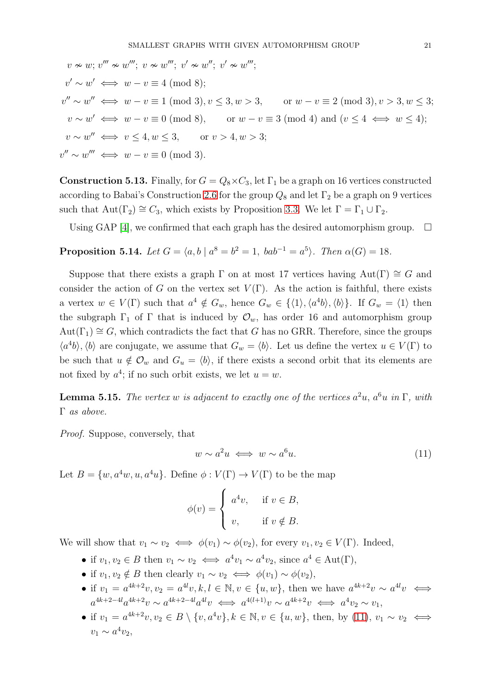$$
v \nsim w; v''' \nsim w'''; v \nsim w''; v' \nsim w''; v' \nsim w''';
$$
  
\n
$$
v' \sim w' \iff w - v \equiv 4 \pmod{8};
$$
  
\n
$$
v'' \sim w'' \iff w - v \equiv 1 \pmod{3}, v \le 3, w > 3, \qquad \text{or } w - v \equiv 2 \pmod{3}, v > 3, w \le 3;
$$
  
\n
$$
v \sim w' \iff w - v \equiv 0 \pmod{8}, \qquad \text{or } w - v \equiv 3 \pmod{4} \text{ and } (v \le 4 \iff w \le 4);
$$
  
\n
$$
v \sim w'' \iff v \le 4, w \le 3, \qquad \text{or } v > 4, w > 3;
$$
  
\n
$$
v'' \sim w''' \iff w - v \equiv 0 \pmod{3}.
$$

**Construction 5.13.** Finally, for  $G = Q_8 \times C_3$ , let  $\Gamma_1$  be a graph on 16 vertices constructed according to Babai's Construction [2.6](#page-3-2) for the group  $Q_8$  and let  $\Gamma_2$  be a graph on 9 vertices such that  $Aut(\Gamma_2) \cong C_3$ , which exists by Proposition [3.3.](#page-5-1) We let  $\Gamma = \Gamma_1 \cup \Gamma_2$ .

Using GAP [\[4\]](#page-25-18), we confirmed that each graph has the desired automorphism group.  $\Box$ 

<span id="page-20-0"></span>**Proposition 5.14.** Let 
$$
G = \langle a, b \mid a^8 = b^2 = 1, bab^{-1} = a^5 \rangle
$$
. Then  $\alpha(G) = 18$ .

Suppose that there exists a graph  $\Gamma$  on at most 17 vertices having Aut( $\Gamma$ )  $\cong G$  and consider the action of G on the vertex set  $V(\Gamma)$ . As the action is faithful, there exists a vertex  $w \in V(\Gamma)$  such that  $a^4 \notin G_w$ , hence  $G_w \in \{ \langle 1 \rangle, \langle a^4b \rangle, \langle b \rangle \}$ . If  $G_w = \langle 1 \rangle$  then the subgraph  $\Gamma_1$  of  $\Gamma$  that is induced by  $\mathcal{O}_w$ , has order 16 and automorphism group  $Aut(\Gamma_1) \cong G$ , which contradicts the fact that G has no GRR. Therefore, since the groups  $\langle a^4b\rangle$ ,  $\langle b\rangle$  are conjugate, we assume that  $G_w = \langle b\rangle$ . Let us define the vertex  $u \in V(\Gamma)$  to be such that  $u \notin \mathcal{O}_w$  and  $G_u = \langle b \rangle$ , if there exists a second orbit that its elements are not fixed by  $a^4$ ; if no such orbit exists, we let  $u = w$ .

<span id="page-20-2"></span>**Lemma 5.15.** The vertex w is adjacent to exactly one of the vertices  $a^2u$ ,  $a^6u$  in  $\Gamma$ , with Γ as above.

Proof. Suppose, conversely, that

<span id="page-20-1"></span>
$$
w \sim a^2 u \iff w \sim a^6 u. \tag{11}
$$

Let  $B = \{w, a^4w, u, a^4u\}$ . Define  $\phi : V(\Gamma) \to V(\Gamma)$  to be the map

$$
\phi(v) = \begin{cases} a^4v, & \text{if } v \in B, \\ v, & \text{if } v \notin B. \end{cases}
$$

We will show that  $v_1 \sim v_2 \iff \phi(v_1) \sim \phi(v_2)$ , for every  $v_1, v_2 \in V(\Gamma)$ . Indeed,

- if  $v_1, v_2 \in B$  then  $v_1 \sim v_2 \iff a^4v_1 \sim a^4v_2$ , since  $a^4 \in \text{Aut}(\Gamma)$ ,
- if  $v_1, v_2 \notin B$  then clearly  $v_1 \sim v_2 \iff \phi(v_1) \sim \phi(v_2)$ ,
- if  $v_1 = a^{4k+2}v, v_2 = a^{4l}v, k, l \in \mathbb{N}, v \in \{u, w\}$ , then we have  $a^{4k+2}v \sim a^{4l}v \iff$  $a^{4k+2-4l}a^{4k+2}v \sim a^{4k+2-4l}a^{4l}v \iff a^{4(l+1)}v \sim a^{4k+2}v \iff a^4v_2 \sim v_1$
- if  $v_1 = a^{4k+2}v, v_2 \in B \setminus \{v, a^4v\}, k \in \mathbb{N}, v \in \{u, w\}$ , then, by [\(11\)](#page-20-1),  $v_1 \sim v_2 \iff$  $v_1 \sim a^4 v_2$ ,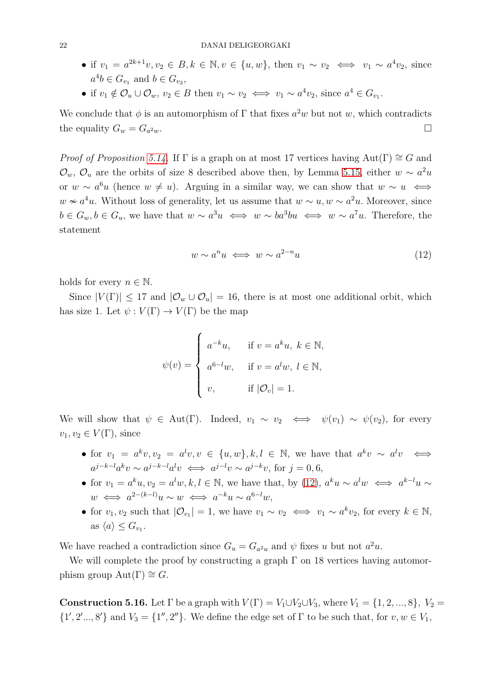- if  $v_1 = a^{2k+1}v, v_2 \in B, k \in \mathbb{N}, v \in \{u, w\}$ , then  $v_1 \sim v_2 \iff v_1 \sim a^4v_2$ , since  $a^4b \in G_{v_1}$  and  $b \in G_{v_2}$ ,
- if  $v_1 \notin \mathcal{O}_u \cup \mathcal{O}_w$ ,  $v_2 \in B$  then  $v_1 \sim v_2 \iff v_1 \sim a^4 v_2$ , since  $a^4 \in G_{v_1}$ .

We conclude that  $\phi$  is an automorphism of  $\Gamma$  that fixes  $a^2w$  but not w, which contradicts the equality  $G_w = G_{a^2w}$ .  $2w \cdot$ 

*Proof of Proposition [5.14.](#page-20-0)* If  $\Gamma$  is a graph on at most 17 vertices having Aut( $\Gamma$ )  $\cong G$  and  $\mathcal{O}_w$ ,  $\mathcal{O}_u$  are the orbits of size 8 described above then, by Lemma [5.15,](#page-20-2) either  $w \sim a^2u$ or  $w \sim a^6u$  (hence  $w \neq u$ ). Arguing in a similar way, we can show that  $w \sim u \iff$  $w \nsim a^4u$ . Without loss of generality, let us assume that  $w \sim u$ ,  $w \sim a^2u$ . Moreover, since  $b \in G_w, b \in G_u$ , we have that  $w \sim a^3u \iff w \sim ba^3bu \iff w \sim a^7u$ . Therefore, the statement

<span id="page-21-0"></span>
$$
w \sim a^n u \iff w \sim a^{2-n} u \tag{12}
$$

holds for every  $n \in \mathbb{N}$ .

Since  $|V(\Gamma)| \leq 17$  and  $|\mathcal{O}_w \cup \mathcal{O}_u| = 16$ , there is at most one additional orbit, which has size 1. Let  $\psi: V(\Gamma) \to V(\Gamma)$  be the map

$$
\psi(v) = \begin{cases}\na^{-k}u, & \text{if } v = a^k u, \ k \in \mathbb{N}, \\
a^{6-l}w, & \text{if } v = a^l w, \ l \in \mathbb{N}, \\
v, & \text{if } |\mathcal{O}_v| = 1.\n\end{cases}
$$

We will show that  $\psi \in \text{Aut}(\Gamma)$ . Indeed,  $v_1 \sim v_2 \iff \psi(v_1) \sim \psi(v_2)$ , for every  $v_1, v_2 \in V(\Gamma)$ , since

- for  $v_1 = a^k v, v_2 = a^l v, v \in \{u, w\}, k, l \in \mathbb{N}$ , we have that  $a^k v \sim a^l v \iff$  $a^{j-k-l}a^kv \sim a^{j-k-l}a^lv \iff a^{j-l}v \sim a^{j-k}v$ , for  $j = 0, 6$ ,
- for  $v_1 = a^k u, v_2 = a^l w, k, l \in \mathbb{N}$ , we have that, by [\(12\)](#page-21-0),  $a^k u \sim a^l w \iff a^{k-l} u \sim$  $w \iff a^{2-(k-l)}u \sim w \iff a^{-k}u \sim a^{6-l}w,$
- for  $v_1, v_2$  such that  $|\mathcal{O}_{v_1}| = 1$ , we have  $v_1 \sim v_2 \iff v_1 \sim a^k v_2$ , for every  $k \in \mathbb{N}$ , as  $\langle a \rangle \leq G_{v_1}$ .

We have reached a contradiction since  $G_u = G_{a^2u}$  and  $\psi$  fixes u but not  $a^2u$ .

We will complete the proof by constructing a graph  $\Gamma$  on 18 vertices having automorphism group  $Aut(\Gamma) \cong G$ .

**Construction 5.16.** Let  $\Gamma$  be a graph with  $V(\Gamma) = V_1 \cup V_2 \cup V_3$ , where  $V_1 = \{1, 2, ..., 8\}, V_2 =$  $\{1', 2', ..., 8'\}$  and  $V_3 = \{1'', 2''\}$ . We define the edge set of  $\Gamma$  to be such that, for  $v, w \in V_1$ ,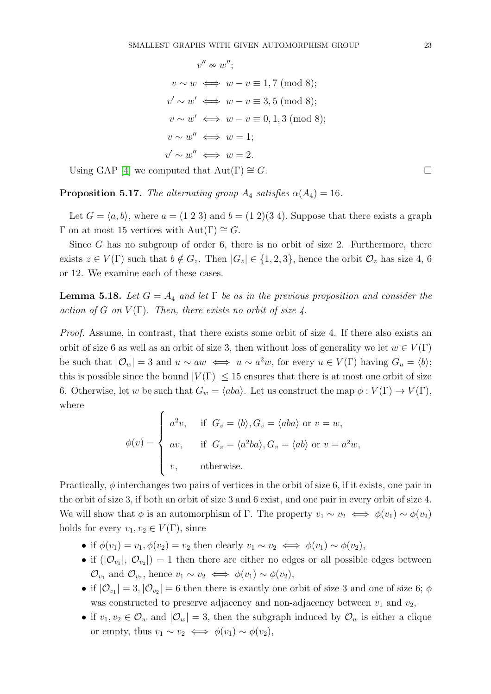$$
v'' \approx w'';
$$
  
\n
$$
v \sim w \iff w - v \equiv 1,7 \pmod{8};
$$
  
\n
$$
v' \sim w' \iff w - v \equiv 3,5 \pmod{8};
$$
  
\n
$$
v \sim w' \iff w - v \equiv 0,1,3 \pmod{8};
$$
  
\n
$$
v \sim w'' \iff w = 1;
$$
  
\n
$$
v' \sim w'' \iff w = 2.
$$

Using GAP [\[4\]](#page-25-18) we computed that  $Aut(\Gamma) \cong G$ .

<span id="page-22-0"></span>**Proposition 5.17.** The alternating group  $A_4$  satisfies  $\alpha(A_4) = 16$ .

Let  $G = \langle a, b \rangle$ , where  $a = (1\ 2\ 3)$  and  $b = (1\ 2)(3\ 4)$ . Suppose that there exists a graph  $\Gamma$  on at most 15 vertices with  $Aut(\Gamma) \cong G$ .

Since  $G$  has no subgroup of order  $6$ , there is no orbit of size 2. Furthermore, there exists  $z \in V(\Gamma)$  such that  $b \notin G_z$ . Then  $|G_z| \in \{1, 2, 3\}$ , hence the orbit  $\mathcal{O}_z$  has size 4, 6 or 12. We examine each of these cases.

<span id="page-22-1"></span>**Lemma 5.18.** Let  $G = A_4$  and let  $\Gamma$  be as in the previous proposition and consider the action of G on  $V(\Gamma)$ . Then, there exists no orbit of size 4.

Proof. Assume, in contrast, that there exists some orbit of size 4. If there also exists an orbit of size 6 as well as an orbit of size 3, then without loss of generality we let  $w \in V(\Gamma)$ be such that  $|\mathcal{O}_w| = 3$  and  $u \sim aw \iff u \sim a^2w$ , for every  $u \in V(\Gamma)$  having  $G_u = \langle b \rangle$ ; this is possible since the bound  $|V(\Gamma)| \leq 15$  ensures that there is at most one orbit of size 6. Otherwise, let w be such that  $G_w = \langle aba \rangle$ . Let us construct the map  $\phi : V(\Gamma) \to V(\Gamma)$ , where

$$
\phi(v) = \begin{cases}\na^2v, & \text{if } G_v = \langle b \rangle, G_v = \langle aba \rangle \text{ or } v = w, \\
av, & \text{if } G_v = \langle a^2ba \rangle, G_v = \langle ab \rangle \text{ or } v = a^2w, \\
v, & \text{otherwise.} \n\end{cases}
$$

Practically,  $\phi$  interchanges two pairs of vertices in the orbit of size 6, if it exists, one pair in the orbit of size 3, if both an orbit of size 3 and 6 exist, and one pair in every orbit of size 4. We will show that  $\phi$  is an automorphism of Γ. The property  $v_1 \sim v_2 \iff \phi(v_1) \sim \phi(v_2)$ holds for every  $v_1, v_2 \in V(\Gamma)$ , since

- if  $\phi(v_1) = v_1, \phi(v_2) = v_2$  then clearly  $v_1 \sim v_2 \iff \phi(v_1) \sim \phi(v_2)$ ,
- if  $(|\mathcal{O}_{v_1}|, |\mathcal{O}_{v_2}|) = 1$  then there are either no edges or all possible edges between  $\mathcal{O}_{v_1}$  and  $\mathcal{O}_{v_2}$ , hence  $v_1 \sim v_2 \iff \phi(v_1) \sim \phi(v_2)$ ,
- if  $|\mathcal{O}_{v_1}| = 3$ ,  $|\mathcal{O}_{v_2}| = 6$  then there is exactly one orbit of size 3 and one of size 6;  $\phi$ was constructed to preserve adjacency and non-adjacency between  $v_1$  and  $v_2$ ,
- if  $v_1, v_2 \in \mathcal{O}_w$  and  $|\mathcal{O}_w| = 3$ , then the subgraph induced by  $\mathcal{O}_w$  is either a clique or empty, thus  $v_1 \sim v_2 \iff \phi(v_1) \sim \phi(v_2)$ ,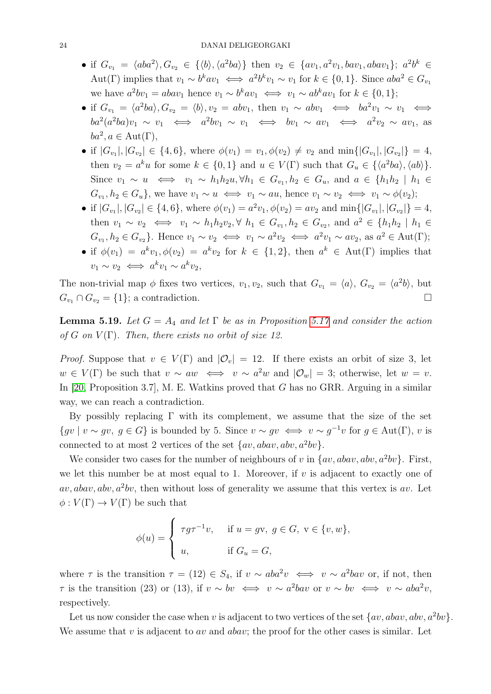- if  $G_{v_1} = \langle aba^2 \rangle, G_{v_2} \in {\langle b \rangle, \langle a^2ba \rangle}$  then  $v_2 \in {\{av_1, a^2v_1, bav_1, abav_1\}}; a^2b^k \in$ Aut(Γ) implies that  $v_1 \sim b^k av_1 \iff a^2 b^k v_1 \sim v_1$  for  $k \in \{0, 1\}$ . Since  $aba^2 \in G_{v_1}$ we have  $a^2bv_1 = abav_1$  hence  $v_1 \sim b^kav_1 \iff v_1 \sim ab^kav_1$  for  $k \in \{0, 1\};$
- if  $G_{v_1} = \langle a^2ba \rangle, G_{v_2} = \langle b \rangle, v_2 = abv_1$ , then  $v_1 \sim abv_1 \iff ba^2v_1 \sim v_1 \iff$  $ba^2(a^2ba)v_1 \sim v_1 \iff a^2bv_1 \sim v_1 \iff bv_1 \sim av_1 \iff a^2v_2 \sim av_1$ , as  $ba^2, a \in Aut(\Gamma),$
- if  $|G_{v_1}|, |G_{v_2}| \in \{4, 6\}$ , where  $\phi(v_1) = v_1, \phi(v_2) \neq v_2$  and  $\min\{|G_{v_1}|, |G_{v_2}|\} = 4$ , then  $v_2 = a^k u$  for some  $k \in \{0, 1\}$  and  $u \in V(\Gamma)$  such that  $G_u \in \{\langle a^2ba \rangle, \langle ab \rangle\}.$ Since  $v_1 \sim u \iff v_1 \sim h_1 h_2 u, \forall h_1 \in G_{v_1}, h_2 \in G_u$ , and  $a \in \{h_1 h_2 \mid h_1 \in G_u\}$  $G_{v_1}, h_2 \in G_u$ , we have  $v_1 \sim u \iff v_1 \sim au$ , hence  $v_1 \sim v_2 \iff v_1 \sim \phi(v_2)$ ;
- if  $|G_{v_1}|, |G_{v_2}| \in \{4, 6\}$ , where  $\phi(v_1) = a^2v_1, \phi(v_2) = av_2$  and  $\min\{|G_{v_1}|, |G_{v_2}|\} = 4$ , then  $v_1 \sim v_2 \iff v_1 \sim h_1 h_2 v_2, \forall h_1 \in G_{v_1}, h_2 \in G_{v_2}, \text{ and } a^2 \in \{h_1 h_2 \mid h_1 \in G_{v_1}, h_2 \in G_{v_2}, h_2 \in G_{v_2}, h_1 \in G_{v_1} \}$  $G_{v_1}, h_2 \in G_{v_2}$ . Hence  $v_1 \sim v_2 \iff v_1 \sim a^2 v_2 \iff a^2 v_1 \sim av_2$ , as  $a^2 \in \text{Aut}(\Gamma)$ ;
- if  $\phi(v_1) = a^k v_1, \phi(v_2) = a^k v_2$  for  $k \in \{1, 2\}$ , then  $a^k \in \text{Aut}(\Gamma)$  implies that  $v_1 \sim v_2 \iff a^k v_1 \sim a^k v_2,$

The non-trivial map  $\phi$  fixes two vertices,  $v_1, v_2$ , such that  $G_{v_1} = \langle a \rangle, G_{v_2} = \langle a^2 b \rangle$ , but  $G_{v_1} \cap G_{v_2} = \{1\};$  a contradiction.

<span id="page-23-0"></span>**Lemma 5.19.** Let  $G = A_4$  and let  $\Gamma$  be as in Proposition [5.17](#page-22-0) and consider the action of G on  $V(\Gamma)$ . Then, there exists no orbit of size 12.

*Proof.* Suppose that  $v \in V(\Gamma)$  and  $|O_v| = 12$ . If there exists an orbit of size 3, let  $w \in V(\Gamma)$  be such that  $v \sim aw \iff v \sim a^2w$  and  $|\mathcal{O}_w| = 3$ ; otherwise, let  $w = v$ . In [\[20,](#page-25-11) Proposition 3.7], M. E. Watkins proved that G has no GRR. Arguing in a similar way, we can reach a contradiction.

By possibly replacing  $\Gamma$  with its complement, we assume that the size of the set  $\{gv \mid v \sim gv, g \in G\}$  is bounded by 5. Since  $v \sim gv \iff v \sim g^{-1}v$  for  $g \in Aut(\Gamma)$ , v is connected to at most 2 vertices of the set  $\{av, abav, abv, a^2bv\}.$ 

We consider two cases for the number of neighbours of v in  $\{av, abav, abv, a^2bv\}$ . First, we let this number be at most equal to 1. Moreover, if  $v$  is adjacent to exactly one of  $av, abav, abv, a<sup>2</sup>bv$ , then without loss of generality we assume that this vertex is av. Let  $\phi: V(\Gamma) \to V(\Gamma)$  be such that

$$
\phi(u) = \begin{cases} \tau g \tau^{-1} v, & \text{if } u = gv, \ g \in G, \ v \in \{v, w\}, \\ u, & \text{if } G_u = G, \end{cases}
$$

where  $\tau$  is the transition  $\tau = (12) \in S_4$ , if  $v \sim aba^2v \iff v \sim a^2bav$  or, if not, then  $\tau$  is the transition (23) or (13), if  $v \sim bv \iff v \sim a^2 bav$  or  $v \sim bv \iff v \sim aba^2v$ , respectively.

Let us now consider the case when v is adjacent to two vertices of the set  $\{av, abav, abv, a^2bv\}$ . We assume that v is adjacent to av and abav; the proof for the other cases is similar. Let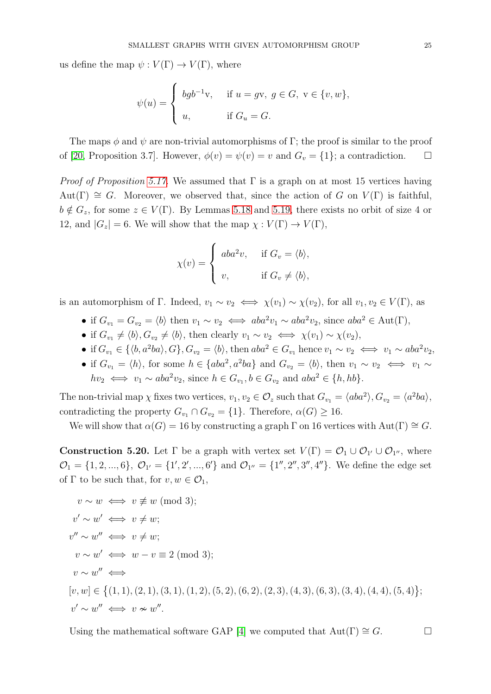us define the map  $\psi: V(\Gamma) \to V(\Gamma)$ , where

$$
\psi(u) = \begin{cases} bgb^{-1}v, & \text{if } u = gv, g \in G, v \in \{v, w\}, \\ u, & \text{if } G_u = G. \end{cases}
$$

The maps  $\phi$  and  $\psi$  are non-trivial automorphisms of Γ; the proof is similar to the proof of [\[20,](#page-25-11) Proposition 3.7]. However,  $\phi(v) = \psi(v) = v$  and  $G_v = \{1\}$ ; a contradiction.  $\Box$ 

*Proof of Proposition [5.17.](#page-22-0)* We assumed that  $\Gamma$  is a graph on at most 15 vertices having  $Aut(\Gamma) \cong G$ . Moreover, we observed that, since the action of G on  $V(\Gamma)$  is faithful,  $b \notin G_z$ , for some  $z \in V(\Gamma)$ . By Lemmas [5.18](#page-22-1) and [5.19,](#page-23-0) there exists no orbit of size 4 or 12, and  $|G_z| = 6$ . We will show that the map  $\chi : V(\Gamma) \to V(\Gamma)$ ,

$$
\chi(v) = \begin{cases} aba^2v, & \text{if } G_v = \langle b \rangle, \\ v, & \text{if } G_v \neq \langle b \rangle, \end{cases}
$$

is an automorphism of Γ. Indeed,  $v_1 \sim v_2 \iff \chi(v_1) \sim \chi(v_2)$ , for all  $v_1, v_2 \in V(\Gamma)$ , as

- if  $G_{v_1} = G_{v_2} = \langle b \rangle$  then  $v_1 \sim v_2 \iff aba^2v_1 \sim aba^2v_2$ , since  $aba^2 \in Aut(\Gamma)$ ,
- if  $G_{v_1} \neq \langle b \rangle, G_{v_2} \neq \langle b \rangle$ , then clearly  $v_1 \sim v_2 \iff \chi(v_1) \sim \chi(v_2)$ ,
- if  $G_{v_1} \in \{ \langle b, a^2ba \rangle, G \}$ ,  $G_{v_2} = \langle b \rangle$ , then  $aba^2 \in G_{v_1}$  hence  $v_1 \sim v_2 \iff v_1 \sim aba^2v_2$ ,
- if  $G_{v_1} = \langle h \rangle$ , for some  $h \in \{aba^2, a^2ba\}$  and  $G_{v_2} = \langle b \rangle$ , then  $v_1 \sim v_2 \iff v_1 \sim v_2$  $hv_2 \iff v_1 \sim aba^2v_2$ , since  $h \in G_{v_1}, b \in G_{v_2}$  and  $aba^2 \in \{h, hb\}.$

The non-trivial map  $\chi$  fixes two vertices,  $v_1, v_2 \in \mathcal{O}_z$  such that  $G_{v_1} = \langle aba^2 \rangle, G_{v_2} = \langle a^2ba \rangle$ , contradicting the property  $G_{v_1} \cap G_{v_2} = \{1\}$ . Therefore,  $\alpha(G) \geq 16$ .

We will show that  $\alpha(G) = 16$  by constructing a graph  $\Gamma$  on 16 vertices with Aut $(\Gamma) \cong G$ .

**Construction 5.20.** Let  $\Gamma$  be a graph with vertex set  $V(\Gamma) = \mathcal{O}_1 \cup \mathcal{O}_{1'} \cup \mathcal{O}_{1''}$ , where  $\mathcal{O}_1 = \{1, 2, ..., 6\}, \ \mathcal{O}_{1'} = \{1', 2', ..., 6'\}$  and  $\mathcal{O}_{1''} = \{1'', 2'', 3'', 4''\}.$  We define the edge set of  $\Gamma$  to be such that, for  $v, w \in \mathcal{O}_1$ ,

$$
v \sim w \iff v \not\equiv w \pmod{3};
$$
  
\n
$$
v' \sim w' \iff v \neq w;
$$
  
\n
$$
v'' \sim w'' \iff v \neq w;
$$
  
\n
$$
v \sim w' \iff w - v \equiv 2 \pmod{3};
$$
  
\n
$$
v \sim w'' \iff
$$
  
\n
$$
[v, w] \in \{(1, 1), (2, 1), (3, 1), (1, 2), (5, 2), (6, 2), (2, 3), (4, 3), (6, 3), (3, 4), (4, 4), (5, 4)\};
$$
  
\n
$$
v' \sim w'' \iff v \approx w''.
$$

Using the mathematical software GAP [\[4\]](#page-25-18) we computed that  $Aut(\Gamma) \cong G$ .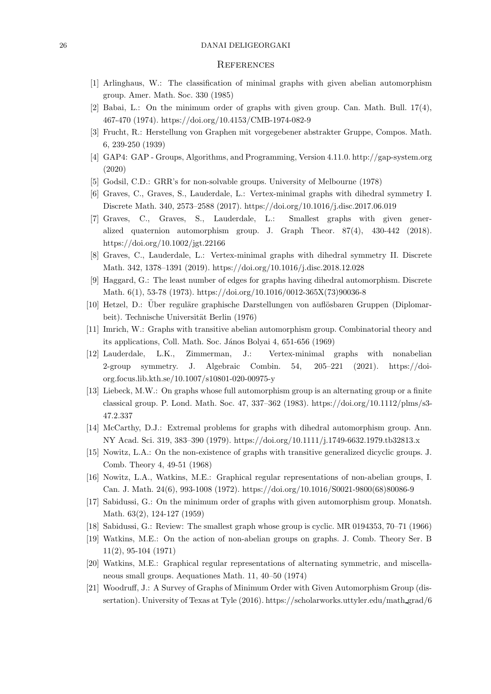#### <span id="page-25-1"></span>26 DANAI DELIGEORGAKI

#### **REFERENCES**

- <span id="page-25-10"></span>[1] Arlinghaus, W.: The classification of minimal graphs with given abelian automorphism group. Amer. Math. Soc. 330 (1985)
- <span id="page-25-0"></span>[2] Babai, L.: On the minimum order of graphs with given group. Can. Math. Bull. 17(4), 467-470 (1974). https://doi.org/10.4153/CMB-1974-082-9
- <span id="page-25-18"></span>[3] Frucht, R.: Herstellung von Graphen mit vorgegebener abstrakter Gruppe, Compos. Math. 6, 239-250 (1939)
- <span id="page-25-12"></span>[4] GAP4: GAP - Groups, Algorithms, and Programming, Version 4.11.0. http://gap-system.org (2020)
- <span id="page-25-2"></span>[5] Godsil, C.D.: GRR's for non-solvable groups. University of Melbourne (1978)
- <span id="page-25-7"></span>[6] Graves, C., Graves, S., Lauderdale, L.: Vertex-minimal graphs with dihedral symmetry I. Discrete Math. 340, 2573–2588 (2017). https://doi.org/10.1016/j.disc.2017.06.019
- [7] Graves, C., Graves, S., Lauderdale, L.: Smallest graphs with given generalized quaternion automorphism group. J. Graph Theor. 87(4), 430-442 (2018). https://doi.org/10.1002/jgt.22166
- <span id="page-25-4"></span><span id="page-25-3"></span>[8] Graves, C., Lauderdale, L.: Vertex-minimal graphs with dihedral symmetry II. Discrete Math. 342, 1378–1391 (2019). https://doi.org/10.1016/j.disc.2018.12.028
- [9] Haggard, G.: The least number of edges for graphs having dihedral automorphism. Discrete Math. 6(1), 53-78 (1973). https://doi.org/10.1016/0012-365X(73)90036-8
- <span id="page-25-14"></span><span id="page-25-13"></span>[10] Hetzel, D.: Über reguläre graphische Darstellungen von auflösbaren Gruppen (Diplomarbeit). Technische Universität Berlin (1976)
- <span id="page-25-6"></span>[11] Imrich, W.: Graphs with transitive abelian automorphism group. Combinatorial theory and its applications, Coll. Math. Soc. János Bolyai 4, 651-656 (1969)
- [12] Lauderdale, L.K., Zimmerman, J.: Vertex-minimal graphs with nonabelian 2-group symmetry. J. Algebraic Combin. 54, 205–221 (2021). https://doiorg.focus.lib.kth.se/10.1007/s10801-020-00975-y
- <span id="page-25-8"></span>[13] Liebeck, M.W.: On graphs whose full automorphism group is an alternating group or a finite classical group. P. Lond. Math. Soc. 47, 337–362 (1983). https://doi.org/10.1112/plms/s3- 47.2.337
- <span id="page-25-15"></span><span id="page-25-5"></span>[14] McCarthy, D.J.: Extremal problems for graphs with dihedral automorphism group. Ann. NY Acad. Sci. 319, 383–390 (1979). https://doi.org/10.1111/j.1749-6632.1979.tb32813.x
- [15] Nowitz, L.A.: On the non-existence of graphs with transitive generalized dicyclic groups. J. Comb. Theory 4, 49-51 (1968)
- <span id="page-25-16"></span>[16] Nowitz, L.A., Watkins, M.E.: Graphical regular representations of non-abelian groups, I. Can. J. Math. 24(6), 993-1008 (1972). https://doi.org/10.1016/S0021-9800(68)80086-9
- <span id="page-25-17"></span>[17] Sabidussi, G.: On the minimum order of graphs with given automorphism group. Monatsh. Math. 63(2), 124-127 (1959)
- [18] Sabidussi, G.: Review: The smallest graph whose group is cyclic. MR 0194353, 70–71 (1966)
- <span id="page-25-11"></span>[19] Watkins, M.E.: On the action of non-abelian groups on graphs. J. Comb. Theory Ser. B 11(2), 95-104 (1971)
- [20] Watkins, M.E.: Graphical regular representations of alternating symmetric, and miscellaneous small groups. Aequationes Math. 11, 40–50 (1974)
- <span id="page-25-9"></span>[21] Woodruff, J.: A Survey of Graphs of Minimum Order with Given Automorphism Group (dissertation). University of Texas at Tyle (2016). https://scholarworks.uttyler.edu/math grad/6